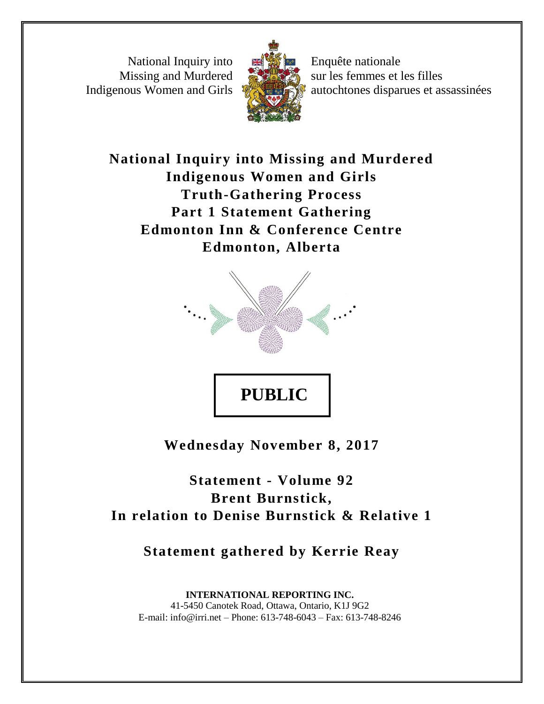National Inquiry into Missing and Murdered Indigenous Women and Girls



Enquête nationale sur les femmes et les filles autochtones disparues et assassinées

**National Inquiry into Missing and Murdered Indigenous Women and Girls Truth-Gathering Process Part 1 Statement Gathering Edmonton Inn & Conference Centre Edmonton, Alberta**



**Wednesday November 8, 2017**

**Statement - Volume 92 Brent Burnstick, In relation to Denise Burnstick & Relative 1**

**Statement gathered by Kerrie Reay**

**INTERNATIONAL REPORTING INC.** 41-5450 Canotek Road, Ottawa, Ontario, K1J 9G2 E-mail: info@irri.net – Phone: 613-748-6043 – Fax: 613-748-8246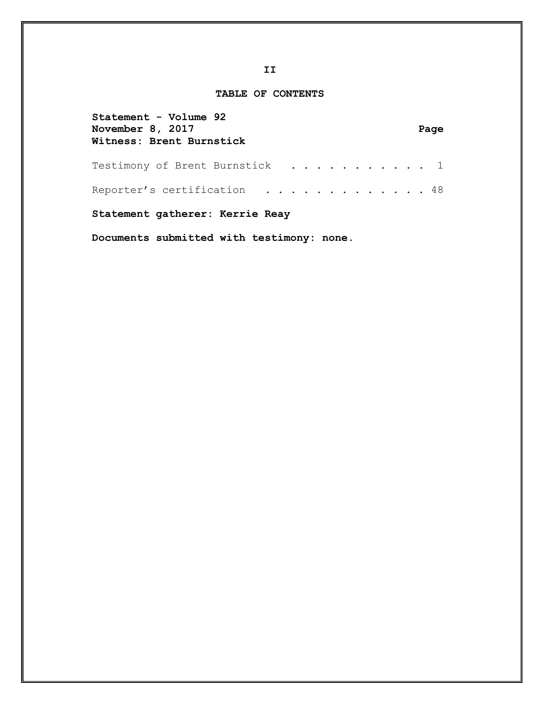# **TABLE OF CONTENTS**

| Statement - Volume 92<br>November 8, 2017<br>Witness: Brent Burnstick | Page |
|-----------------------------------------------------------------------|------|
| Testimony of Brent Burnstick 1                                        |      |
| Reporter's certification 48                                           |      |
| Statement gatherer: Kerrie Reay                                       |      |

**Documents submitted with testimony: none.**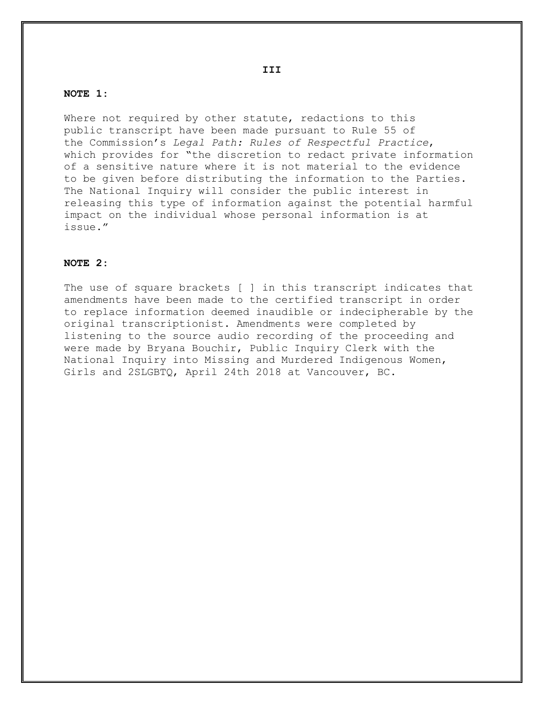### **NOTE 1:**

Where not required by other statute, redactions to this public transcript have been made pursuant to Rule 55 of the Commission's *Legal Path: Rules of Respectful Practice*, which provides for "the discretion to redact private information of a sensitive nature where it is not material to the evidence to be given before distributing the information to the Parties. The National Inquiry will consider the public interest in releasing this type of information against the potential harmful impact on the individual whose personal information is at issue."

### **NOTE 2:**

The use of square brackets [ ] in this transcript indicates that amendments have been made to the certified transcript in order to replace information deemed inaudible or indecipherable by the original transcriptionist. Amendments were completed by listening to the source audio recording of the proceeding and were made by Bryana Bouchir, Public Inquiry Clerk with the National Inquiry into Missing and Murdered Indigenous Women, Girls and 2SLGBTQ, April 24th 2018 at Vancouver, BC.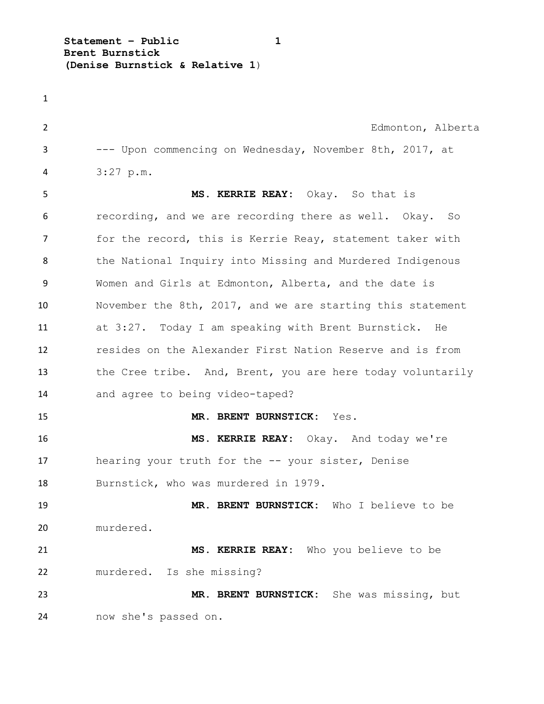**Statement – Public 1 Brent Burnstick (Denise Burnstick & Relative 1**)

 Edmonton, Alberta --- Upon commencing on Wednesday, November 8th, 2017, at 3:27 p.m. **MS. KERRIE REAY:** Okay. So that is recording, and we are recording there as well. Okay. So 7 for the record, this is Kerrie Reay, statement taker with the National Inquiry into Missing and Murdered Indigenous Women and Girls at Edmonton, Alberta, and the date is November the 8th, 2017, and we are starting this statement at 3:27. Today I am speaking with Brent Burnstick. He resides on the Alexander First Nation Reserve and is from the Cree tribe. And, Brent, you are here today voluntarily and agree to being video-taped? **MR. BRENT BURNSTICK:** Yes. **MS. KERRIE REAY:** Okay. And today we're hearing your truth for the -- your sister, Denise Burnstick, who was murdered in 1979. **MR. BRENT BURNSTICK:** Who I believe to be murdered. **MS. KERRIE REAY:** Who you believe to be murdered. Is she missing? **MR. BRENT BURNSTICK:** She was missing, but now she's passed on.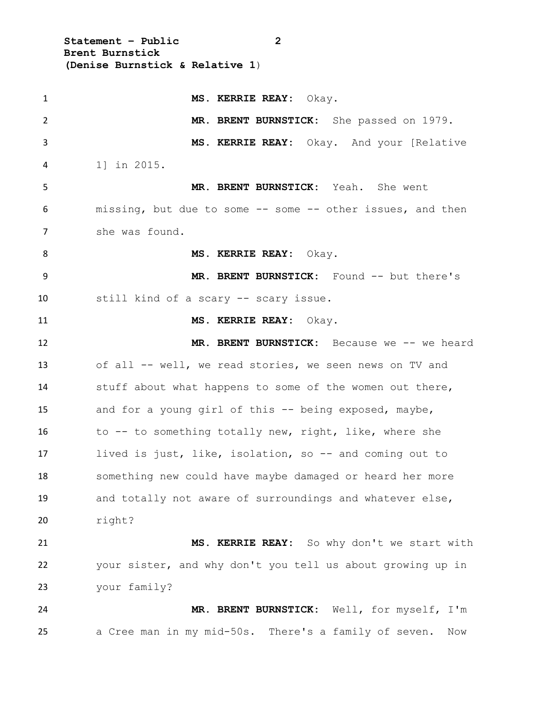**Statement – Public 2 Brent Burnstick (Denise Burnstick & Relative 1**)

 **MS. KERRIE REAY:** Okay. **MR. BRENT BURNSTICK:** She passed on 1979. **MS. KERRIE REAY:** Okay. And your [Relative 1] in 2015. **MR. BRENT BURNSTICK:** Yeah. She went missing, but due to some -- some -- other issues, and then she was found. **MS. KERRIE REAY:** Okay. **MR. BRENT BURNSTICK:** Found -- but there's still kind of a scary -- scary issue. **MS. KERRIE REAY:** Okay. **MR. BRENT BURNSTICK:** Because we -- we heard of all -- well, we read stories, we seen news on TV and stuff about what happens to some of the women out there, and for a young girl of this -- being exposed, maybe, 16 to -- to something totally new, right, like, where she lived is just, like, isolation, so -- and coming out to something new could have maybe damaged or heard her more and totally not aware of surroundings and whatever else, right? **MS. KERRIE REAY:** So why don't we start with your sister, and why don't you tell us about growing up in your family? **MR. BRENT BURNSTICK:** Well, for myself, I'm a Cree man in my mid-50s. There's a family of seven. Now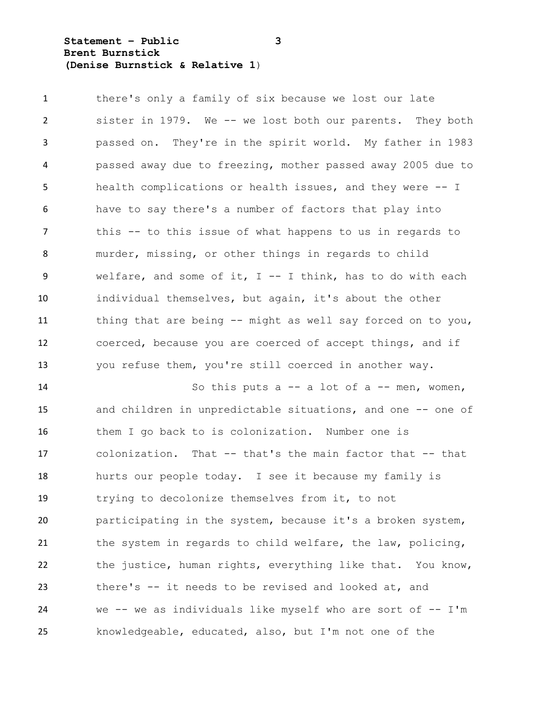**Statement – Public 3 Brent Burnstick (Denise Burnstick & Relative 1**)

 there's only a family of six because we lost our late sister in 1979. We -- we lost both our parents. They both passed on. They're in the spirit world. My father in 1983 passed away due to freezing, mother passed away 2005 due to health complications or health issues, and they were -- I have to say there's a number of factors that play into this -- to this issue of what happens to us in regards to murder, missing, or other things in regards to child welfare, and some of it, I -- I think, has to do with each individual themselves, but again, it's about the other thing that are being -- might as well say forced on to you, coerced, because you are coerced of accept things, and if you refuse them, you're still coerced in another way.

 So this puts a -- a lot of a -- men, women, 15 and children in unpredictable situations, and one -- one of them I go back to is colonization. Number one is colonization. That -- that's the main factor that -- that hurts our people today. I see it because my family is trying to decolonize themselves from it, to not participating in the system, because it's a broken system, 21 the system in regards to child welfare, the law, policing, the justice, human rights, everything like that. You know, there's -- it needs to be revised and looked at, and we -- we as individuals like myself who are sort of -- I'm knowledgeable, educated, also, but I'm not one of the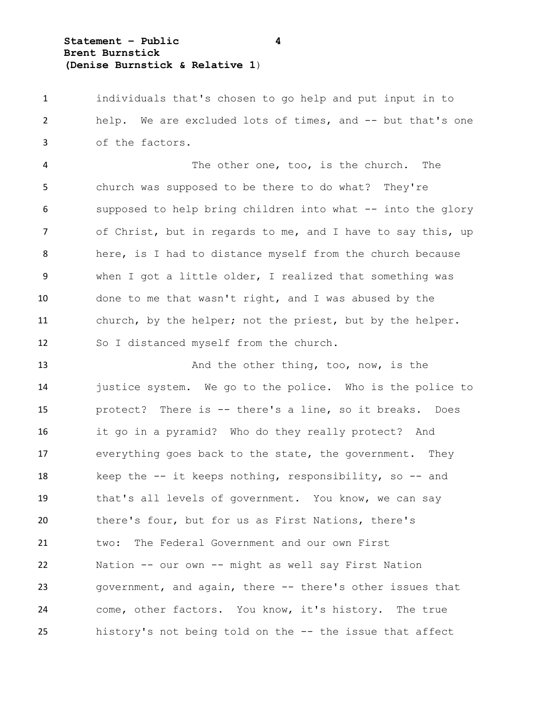**Statement – Public 4 Brent Burnstick (Denise Burnstick & Relative 1**)

 individuals that's chosen to go help and put input in to help. We are excluded lots of times, and -- but that's one of the factors.

 The other one, too, is the church. The church was supposed to be there to do what? They're supposed to help bring children into what -- into the glory of Christ, but in regards to me, and I have to say this, up here, is I had to distance myself from the church because when I got a little older, I realized that something was done to me that wasn't right, and I was abused by the church, by the helper; not the priest, but by the helper. So I distanced myself from the church.

13 And the other thing, too, now, is the justice system. We go to the police. Who is the police to protect? There is -- there's a line, so it breaks. Does it go in a pyramid? Who do they really protect? And everything goes back to the state, the government. They 18 keep the -- it keeps nothing, responsibility, so -- and that's all levels of government. You know, we can say there's four, but for us as First Nations, there's two: The Federal Government and our own First Nation -- our own -- might as well say First Nation government, and again, there -- there's other issues that come, other factors. You know, it's history. The true history's not being told on the -- the issue that affect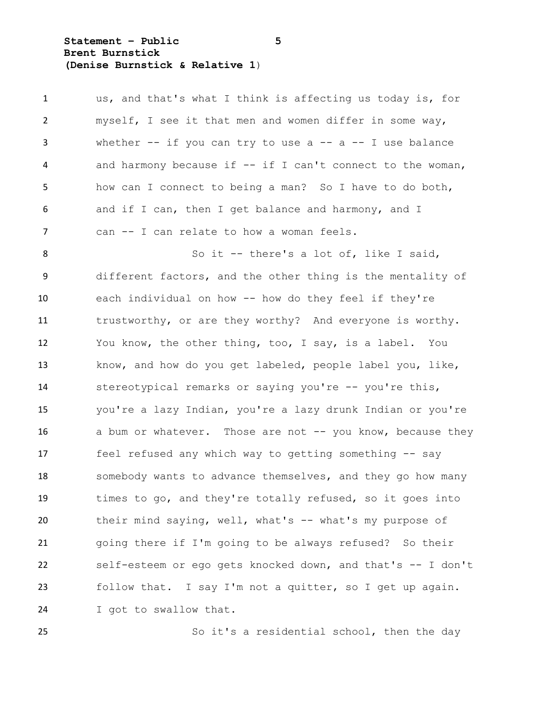**Statement – Public 5 Brent Burnstick (Denise Burnstick & Relative 1**)

 us, and that's what I think is affecting us today is, for myself, I see it that men and women differ in some way, whether -- if you can try to use a -- a -- I use balance and harmony because if -- if I can't connect to the woman, how can I connect to being a man? So I have to do both, and if I can, then I get balance and harmony, and I can -- I can relate to how a woman feels. 8 So it -- there's a lot of, like I said, different factors, and the other thing is the mentality of each individual on how -- how do they feel if they're trustworthy, or are they worthy? And everyone is worthy. You know, the other thing, too, I say, is a label. You know, and how do you get labeled, people label you, like, 14 stereotypical remarks or saying you're -- you're this, you're a lazy Indian, you're a lazy drunk Indian or you're 16 a bum or whatever. Those are not -- you know, because they feel refused any which way to getting something -- say 18 somebody wants to advance themselves, and they go how many times to go, and they're totally refused, so it goes into 20 their mind saying, well, what's -- what's my purpose of going there if I'm going to be always refused? So their self-esteem or ego gets knocked down, and that's -- I don't follow that. I say I'm not a quitter, so I get up again. I got to swallow that.

So it's a residential school, then the day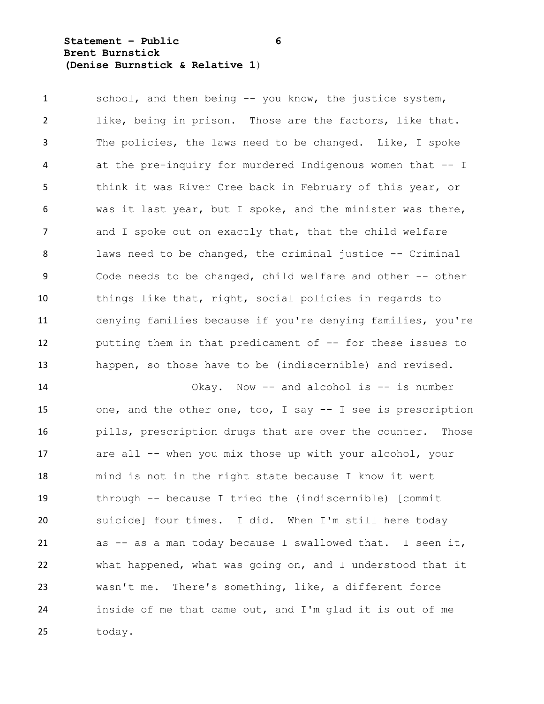**Statement – Public 6 Brent Burnstick (Denise Burnstick & Relative 1**)

 school, and then being -- you know, the justice system, like, being in prison. Those are the factors, like that. The policies, the laws need to be changed. Like, I spoke at the pre-inquiry for murdered Indigenous women that -- I think it was River Cree back in February of this year, or was it last year, but I spoke, and the minister was there, 7 and I spoke out on exactly that, that the child welfare laws need to be changed, the criminal justice -- Criminal Code needs to be changed, child welfare and other -- other things like that, right, social policies in regards to denying families because if you're denying families, you're putting them in that predicament of -- for these issues to happen, so those have to be (indiscernible) and revised.

 Okay. Now -- and alcohol is -- is number one, and the other one, too, I say -- I see is prescription pills, prescription drugs that are over the counter. Those 17 are all -- when you mix those up with your alcohol, your mind is not in the right state because I know it went through -- because I tried the (indiscernible) [commit suicide] four times. I did. When I'm still here today as -- as a man today because I swallowed that. I seen it, what happened, what was going on, and I understood that it wasn't me. There's something, like, a different force inside of me that came out, and I'm glad it is out of me today.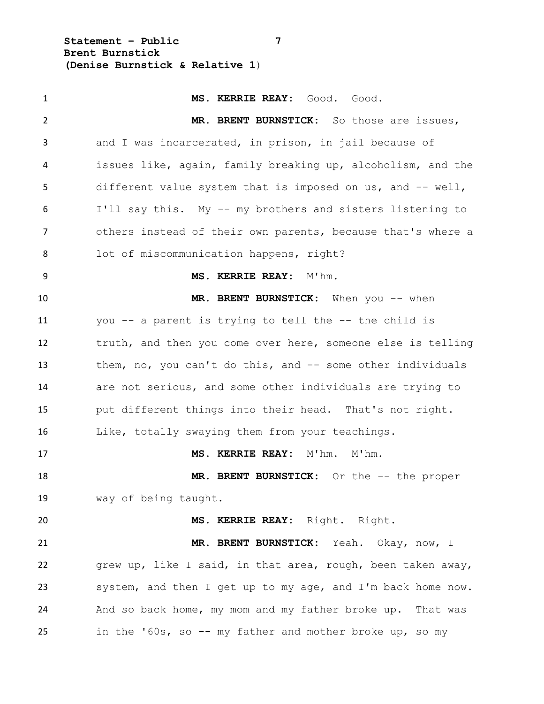**Statement – Public 7 Brent Burnstick (Denise Burnstick & Relative 1**)

 **MS. KERRIE REAY:** Good. Good. **MR. BRENT BURNSTICK:** So those are issues, and I was incarcerated, in prison, in jail because of issues like, again, family breaking up, alcoholism, and the different value system that is imposed on us, and -- well, I'll say this. My -- my brothers and sisters listening to others instead of their own parents, because that's where a lot of miscommunication happens, right? **MS. KERRIE REAY:** M'hm. **MR. BRENT BURNSTICK:** When you -- when you -- a parent is trying to tell the -- the child is truth, and then you come over here, someone else is telling them, no, you can't do this, and -- some other individuals are not serious, and some other individuals are trying to put different things into their head. That's not right. Like, totally swaying them from your teachings. **MS. KERRIE REAY:** M'hm. M'hm. 18 MR. BRENT BURNSTICK: Or the -- the proper way of being taught. **MS. KERRIE REAY:** Right. Right. **MR. BRENT BURNSTICK:** Yeah. Okay, now, I grew up, like I said, in that area, rough, been taken away, system, and then I get up to my age, and I'm back home now. And so back home, my mom and my father broke up. That was in the '60s, so -- my father and mother broke up, so my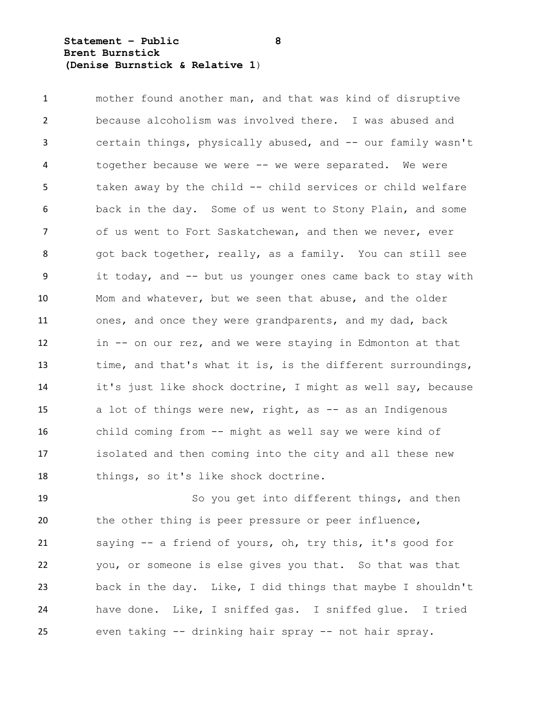**Statement – Public 8 Brent Burnstick (Denise Burnstick & Relative 1**)

 mother found another man, and that was kind of disruptive because alcoholism was involved there. I was abused and certain things, physically abused, and -- our family wasn't together because we were -- we were separated. We were taken away by the child -- child services or child welfare back in the day. Some of us went to Stony Plain, and some of us went to Fort Saskatchewan, and then we never, ever 8 got back together, really, as a family. You can still see it today, and -- but us younger ones came back to stay with Mom and whatever, but we seen that abuse, and the older ones, and once they were grandparents, and my dad, back in -- on our rez, and we were staying in Edmonton at that time, and that's what it is, is the different surroundings, it's just like shock doctrine, I might as well say, because 15 a lot of things were new, right, as -- as an Indigenous child coming from -- might as well say we were kind of isolated and then coming into the city and all these new things, so it's like shock doctrine.

 So you get into different things, and then the other thing is peer pressure or peer influence, saying -- a friend of yours, oh, try this, it's good for you, or someone is else gives you that. So that was that back in the day. Like, I did things that maybe I shouldn't have done. Like, I sniffed gas. I sniffed glue. I tried even taking -- drinking hair spray -- not hair spray.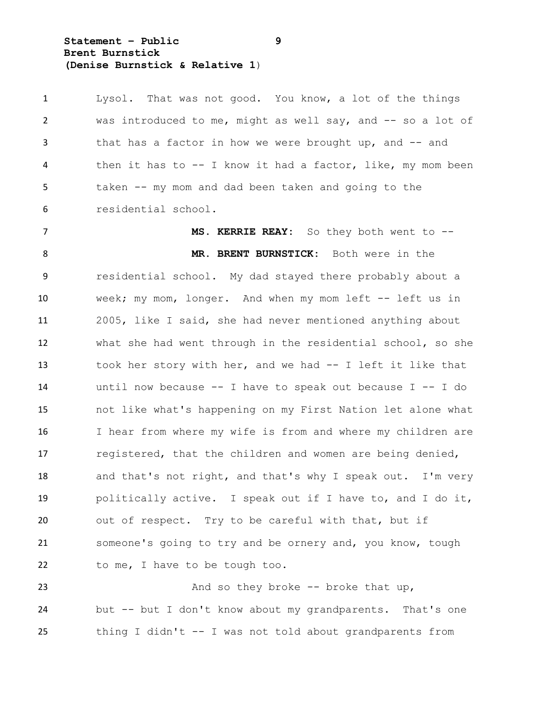**Statement – Public 9 Brent Burnstick (Denise Burnstick & Relative 1**)

 Lysol. That was not good. You know, a lot of the things was introduced to me, might as well say, and -- so a lot of 3 that has a factor in how we were brought up, and -- and then it has to -- I know it had a factor, like, my mom been taken -- my mom and dad been taken and going to the residential school.

 **MS. KERRIE REAY:** So they both went to -- **MR. BRENT BURNSTICK:** Both were in the residential school. My dad stayed there probably about a week; my mom, longer. And when my mom left -- left us in 2005, like I said, she had never mentioned anything about what she had went through in the residential school, so she took her story with her, and we had -- I left it like that until now because -- I have to speak out because I -- I do not like what's happening on my First Nation let alone what I hear from where my wife is from and where my children are registered, that the children and women are being denied, 18 and that's not right, and that's why I speak out. I'm very politically active. I speak out if I have to, and I do it, out of respect. Try to be careful with that, but if someone's going to try and be ornery and, you know, tough 22 to me, I have to be tough too.

23 And so they broke -- broke that up, but -- but I don't know about my grandparents. That's one thing I didn't -- I was not told about grandparents from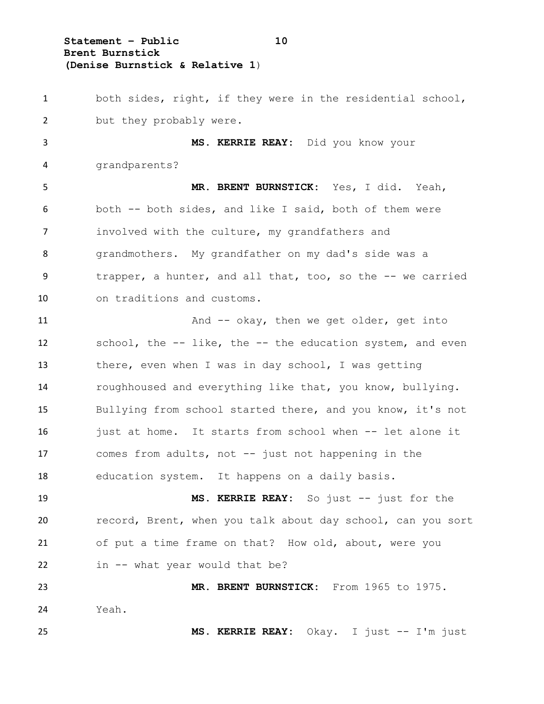**Statement – Public 10 Brent Burnstick (Denise Burnstick & Relative 1**)

 both sides, right, if they were in the residential school, 2 but they probably were.

 **MS. KERRIE REAY:** Did you know your grandparents?

 **MR. BRENT BURNSTICK:** Yes, I did. Yeah, both -- both sides, and like I said, both of them were involved with the culture, my grandfathers and grandmothers. My grandfather on my dad's side was a trapper, a hunter, and all that, too, so the -- we carried on traditions and customs.

11 And -- okay, then we get older, get into school, the -- like, the -- the education system, and even there, even when I was in day school, I was getting roughhoused and everything like that, you know, bullying. Bullying from school started there, and you know, it's not just at home. It starts from school when -- let alone it comes from adults, not -- just not happening in the education system. It happens on a daily basis.

 **MS. KERRIE REAY:** So just -- just for the record, Brent, when you talk about day school, can you sort of put a time frame on that? How old, about, were you in -- what year would that be?

 **MR. BRENT BURNSTICK:** From 1965 to 1975. Yeah. **MS. KERRIE REAY:** Okay. I just -- I'm just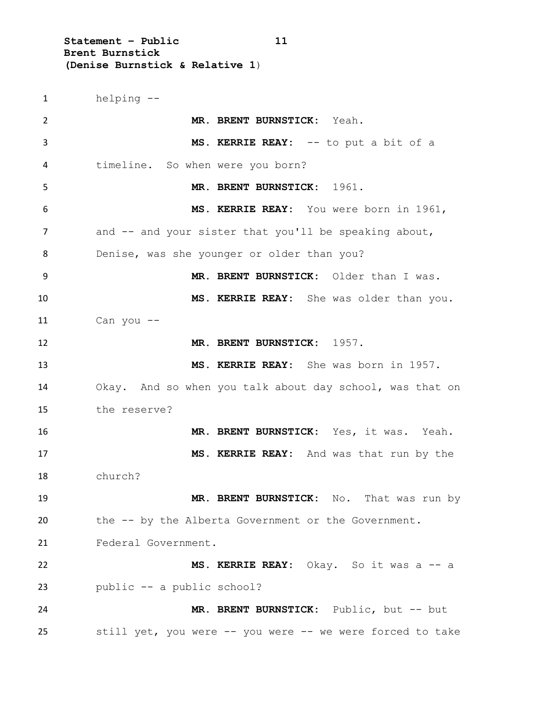**Statement – Public 11 Brent Burnstick (Denise Burnstick & Relative 1**)

 helping -- **MR. BRENT BURNSTICK:** Yeah. **MS. KERRIE REAY:** -- to put a bit of a timeline. So when were you born? **MR. BRENT BURNSTICK:** 1961. **MS. KERRIE REAY:** You were born in 1961, 7 and  $-$  and your sister that you'll be speaking about, Denise, was she younger or older than you? **MR. BRENT BURNSTICK:** Older than I was. **MS. KERRIE REAY:** She was older than you. Can you  $-$ **MR. BRENT BURNSTICK:** 1957. **MS. KERRIE REAY:** She was born in 1957. Okay. And so when you talk about day school, was that on the reserve? **MR. BRENT BURNSTICK:** Yes, it was. Yeah. **MS. KERRIE REAY:** And was that run by the church? **MR. BRENT BURNSTICK:** No. That was run by the -- by the Alberta Government or the Government. Federal Government. **MS. KERRIE REAY:** Okay. So it was a -- a public -- a public school? **MR. BRENT BURNSTICK:** Public, but -- but still yet, you were -- you were -- we were forced to take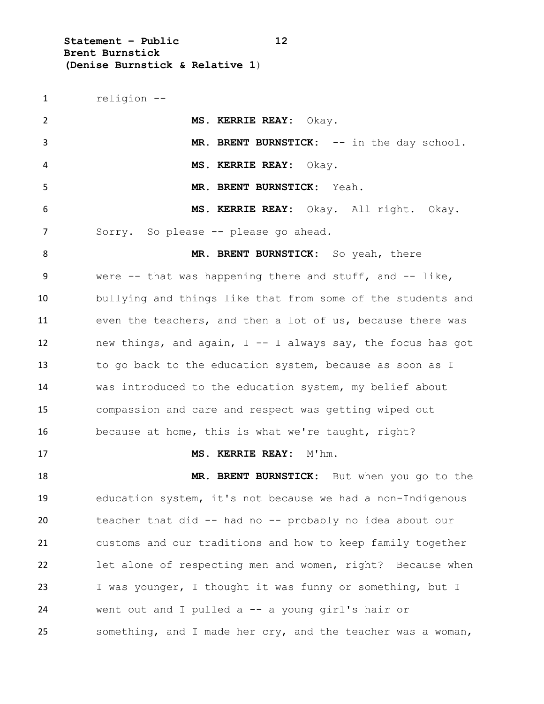**Statement – Public 12 Brent Burnstick (Denise Burnstick & Relative 1**)

 religion -- **MS. KERRIE REAY:** Okay. 3 MR. BRENT BURNSTICK: -- in the day school. **MS. KERRIE REAY:** Okay. **MR. BRENT BURNSTICK:** Yeah. **MS. KERRIE REAY:** Okay. All right. Okay. Sorry. So please -- please go ahead. **MR. BRENT BURNSTICK:** So yeah, there 9 were -- that was happening there and stuff, and -- like, bullying and things like that from some of the students and even the teachers, and then a lot of us, because there was new things, and again, I -- I always say, the focus has got to go back to the education system, because as soon as I was introduced to the education system, my belief about compassion and care and respect was getting wiped out because at home, this is what we're taught, right? **MS. KERRIE REAY:** M'hm. **MR. BRENT BURNSTICK:** But when you go to the education system, it's not because we had a non-Indigenous teacher that did -- had no -- probably no idea about our customs and our traditions and how to keep family together let alone of respecting men and women, right? Because when I was younger, I thought it was funny or something, but I went out and I pulled a -- a young girl's hair or something, and I made her cry, and the teacher was a woman,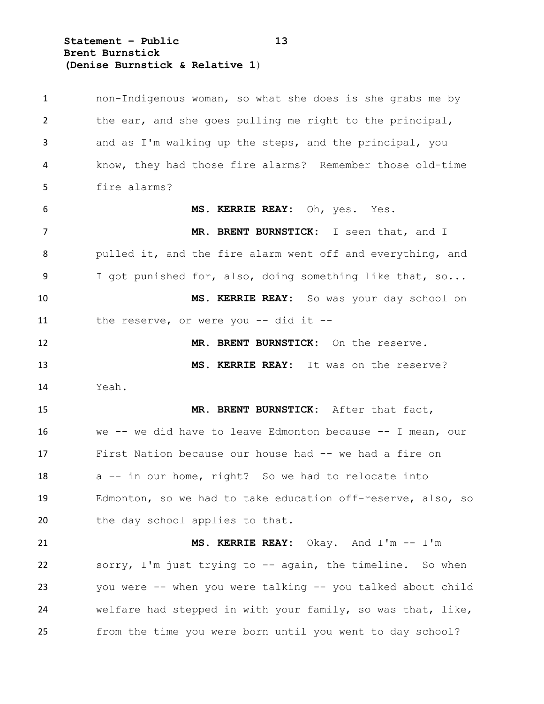**Statement – Public 13 Brent Burnstick (Denise Burnstick & Relative 1**)

 non-Indigenous woman, so what she does is she grabs me by the ear, and she goes pulling me right to the principal, and as I'm walking up the steps, and the principal, you know, they had those fire alarms? Remember those old-time fire alarms? **MS. KERRIE REAY:** Oh, yes. Yes. **MR. BRENT BURNSTICK:** I seen that, and I pulled it, and the fire alarm went off and everything, and I got punished for, also, doing something like that, so... **MS. KERRIE REAY:** So was your day school on the reserve, or were you -- did it -- **MR. BRENT BURNSTICK:** On the reserve. **MS. KERRIE REAY:** It was on the reserve? Yeah. **MR. BRENT BURNSTICK:** After that fact, we -- we did have to leave Edmonton because -- I mean, our First Nation because our house had -- we had a fire on a -- in our home, right? So we had to relocate into Edmonton, so we had to take education off-reserve, also, so 20 the day school applies to that. **MS. KERRIE REAY:** Okay. And I'm -- I'm sorry, I'm just trying to -- again, the timeline. So when you were -- when you were talking -- you talked about child welfare had stepped in with your family, so was that, like, from the time you were born until you went to day school?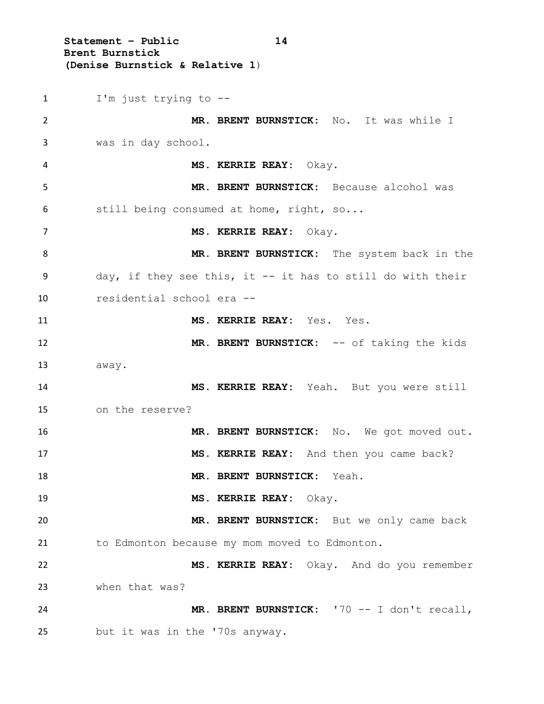**Statement – Public 14 Brent Burnstick (Denise Burnstick & Relative 1**) I'm just trying to -- **MR. BRENT BURNSTICK:** No. It was while I was in day school. **MS. KERRIE REAY:** Okay. **MR. BRENT BURNSTICK:** Because alcohol was still being consumed at home, right, so... **MS. KERRIE REAY:** Okay. **MR. BRENT BURNSTICK:** The system back in the day, if they see this, it -- it has to still do with their residential school era -- **MS. KERRIE REAY:** Yes. Yes. 12 MR. BRENT BURNSTICK: -- of taking the kids away. **MS. KERRIE REAY:** Yeah. But you were still on the reserve? **MR. BRENT BURNSTICK:** No. We got moved out. **MS. KERRIE REAY:** And then you came back? **MR. BRENT BURNSTICK:** Yeah. **MS. KERRIE REAY:** Okay. **MR. BRENT BURNSTICK:** But we only came back to Edmonton because my mom moved to Edmonton. **MS. KERRIE REAY:** Okay. And do you remember when that was? **MR. BRENT BURNSTICK:** '70 -- I don't recall, but it was in the '70s anyway.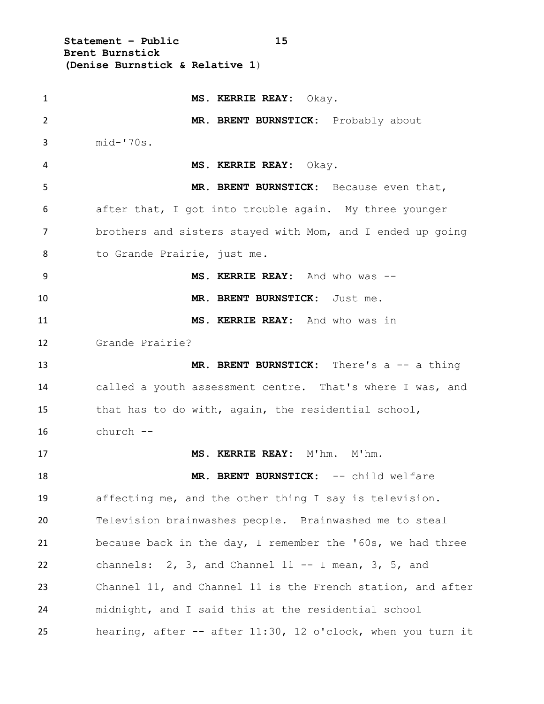**Statement – Public 15 Brent Burnstick (Denise Burnstick & Relative 1**)

 **MS. KERRIE REAY:** Okay. **MR. BRENT BURNSTICK:** Probably about mid-'70s. **MS. KERRIE REAY:** Okay. **MR. BRENT BURNSTICK:** Because even that, after that, I got into trouble again. My three younger brothers and sisters stayed with Mom, and I ended up going to Grande Prairie, just me. **MS. KERRIE REAY:** And who was -- **MR. BRENT BURNSTICK:** Just me. **MS. KERRIE REAY:** And who was in Grande Prairie? **MR. BRENT BURNSTICK:** There's a -- a thing called a youth assessment centre. That's where I was, and that has to do with, again, the residential school, church -- **MS. KERRIE REAY:** M'hm. M'hm. **MR. BRENT BURNSTICK:** -- child welfare affecting me, and the other thing I say is television. Television brainwashes people. Brainwashed me to steal because back in the day, I remember the '60s, we had three channels: 2, 3, and Channel 11 -- I mean, 3, 5, and Channel 11, and Channel 11 is the French station, and after midnight, and I said this at the residential school hearing, after -- after 11:30, 12 o'clock, when you turn it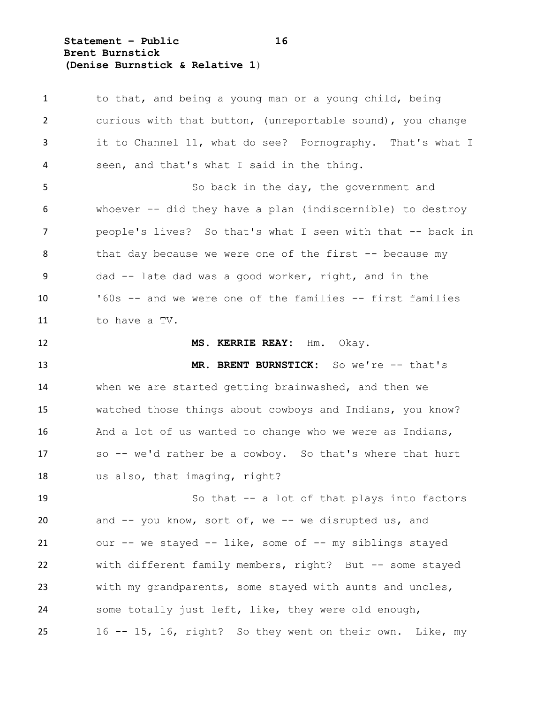**Statement – Public 16 Brent Burnstick (Denise Burnstick & Relative 1**)

 to that, and being a young man or a young child, being curious with that button, (unreportable sound), you change it to Channel 11, what do see? Pornography. That's what I seen, and that's what I said in the thing. So back in the day, the government and whoever -- did they have a plan (indiscernible) to destroy 7 people's lives? So that's what I seen with that -- back in 8 that day because we were one of the first -- because my dad -- late dad was a good worker, right, and in the '60s -- and we were one of the families -- first families to have a TV. **MS. KERRIE REAY:** Hm. Okay. **MR. BRENT BURNSTICK:** So we're -- that's when we are started getting brainwashed, and then we watched those things about cowboys and Indians, you know? And a lot of us wanted to change who we were as Indians, so -- we'd rather be a cowboy. So that's where that hurt us also, that imaging, right? So that -- a lot of that plays into factors 20 and -- you know, sort of, we -- we disrupted us, and our -- we stayed -- like, some of -- my siblings stayed with different family members, right? But -- some stayed with my grandparents, some stayed with aunts and uncles, some totally just left, like, they were old enough, 16 -- 15, 16, right? So they went on their own. Like, my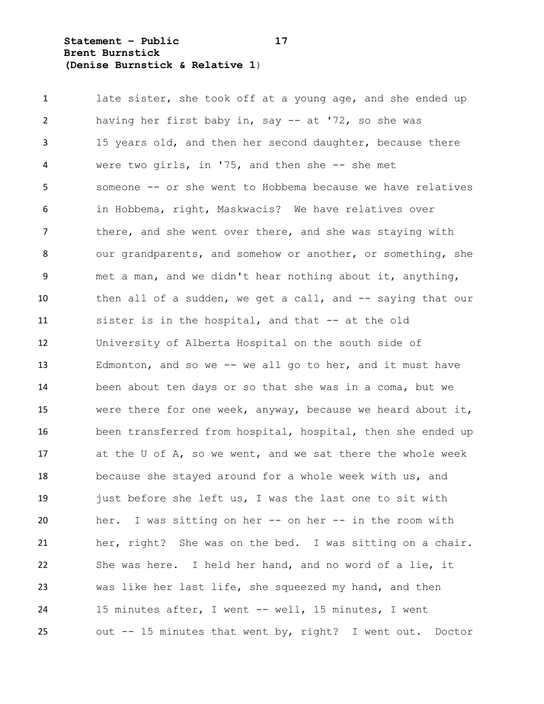**Statement – Public 17 Brent Burnstick (Denise Burnstick & Relative 1**)

1 late sister, she took off at a young age, and she ended up having her first baby in, say -- at '72, so she was 15 years old, and then her second daughter, because there were two girls, in '75, and then she -- she met someone -- or she went to Hobbema because we have relatives in Hobbema, right, Maskwacis? We have relatives over 7 there, and she went over there, and she was staying with 8 our grandparents, and somehow or another, or something, she met a man, and we didn't hear nothing about it, anything, then all of a sudden, we get a call, and -- saying that our sister is in the hospital, and that -- at the old University of Alberta Hospital on the south side of Edmonton, and so we -- we all go to her, and it must have been about ten days or so that she was in a coma, but we were there for one week, anyway, because we heard about it, been transferred from hospital, hospital, then she ended up at the U of A, so we went, and we sat there the whole week because she stayed around for a whole week with us, and just before she left us, I was the last one to sit with her. I was sitting on her -- on her -- in the room with her, right? She was on the bed. I was sitting on a chair. She was here. I held her hand, and no word of a lie, it was like her last life, she squeezed my hand, and then 15 minutes after, I went -- well, 15 minutes, I went out -- 15 minutes that went by, right? I went out. Doctor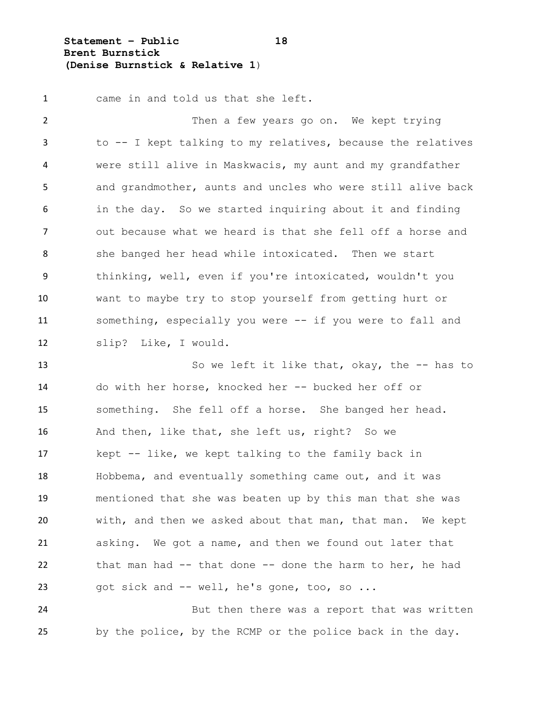**Statement – Public 18 Brent Burnstick (Denise Burnstick & Relative 1**)

came in and told us that she left.

 Then a few years go on. We kept trying to -- I kept talking to my relatives, because the relatives were still alive in Maskwacis, my aunt and my grandfather and grandmother, aunts and uncles who were still alive back in the day. So we started inquiring about it and finding out because what we heard is that she fell off a horse and 8 she banged her head while intoxicated. Then we start thinking, well, even if you're intoxicated, wouldn't you want to maybe try to stop yourself from getting hurt or something, especially you were -- if you were to fall and slip? Like, I would.

13 So we left it like that, okay, the -- has to do with her horse, knocked her -- bucked her off or something. She fell off a horse. She banged her head. And then, like that, she left us, right? So we kept -- like, we kept talking to the family back in Hobbema, and eventually something came out, and it was mentioned that she was beaten up by this man that she was with, and then we asked about that man, that man. We kept asking. We got a name, and then we found out later that that man had -- that done -- done the harm to her, he had got sick and -- well, he's gone, too, so ...

 But then there was a report that was written by the police, by the RCMP or the police back in the day.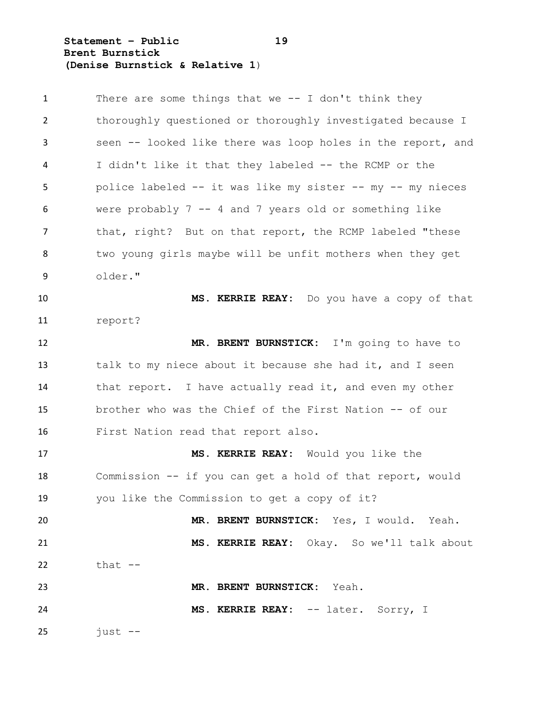**Statement – Public 19 Brent Burnstick (Denise Burnstick & Relative 1**)

| $\mathbf{1}$ | There are some things that we $-$ - I don't think they      |
|--------------|-------------------------------------------------------------|
| 2            | thoroughly questioned or thoroughly investigated because I  |
| 3            | seen -- looked like there was loop holes in the report, and |
| 4            | I didn't like it that they labeled -- the RCMP or the       |
| 5            | police labeled -- it was like my sister -- my -- my nieces  |
| 6            | were probably $7 - 4$ and 7 years old or something like     |
| 7            | that, right? But on that report, the RCMP labeled "these    |
| 8            | two young girls maybe will be unfit mothers when they get   |
| 9            | older."                                                     |
| 10           | MS. KERRIE REAY: Do you have a copy of that                 |
| 11           | report?                                                     |
| 12           | MR. BRENT BURNSTICK: I'm going to have to                   |
| 13           | talk to my niece about it because she had it, and I seen    |
| 14           | that report. I have actually read it, and even my other     |
| 15           | brother who was the Chief of the First Nation -- of our     |
| 16           | First Nation read that report also.                         |
| 17           | MS. KERRIE REAY: Would you like the                         |
| 18           | Commission -- if you can get a hold of that report, would   |
| 19           | you like the Commission to get a copy of it?                |
| 20           | MR. BRENT BURNSTICK: Yes, I would. Yeah.                    |
| 21           | MS. KERRIE REAY: Okay. So we'll talk about                  |
| 22           | that $--$                                                   |
| 23           | MR. BRENT BURNSTICK: Yeah.                                  |
| 24           | MS. KERRIE REAY: -- later. Sorry, I                         |
| 25           | just --                                                     |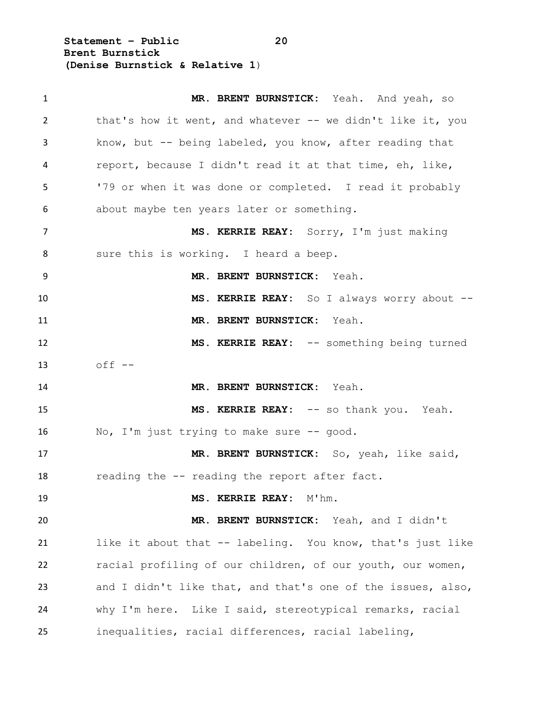**Statement – Public 20 Brent Burnstick (Denise Burnstick & Relative 1**)

 **MR. BRENT BURNSTICK:** Yeah. And yeah, so 2 that's how it went, and whatever -- we didn't like it, you know, but -- being labeled, you know, after reading that report, because I didn't read it at that time, eh, like, '79 or when it was done or completed. I read it probably about maybe ten years later or something. **MS. KERRIE REAY:** Sorry, I'm just making 8 sure this is working. I heard a beep. **MR. BRENT BURNSTICK:** Yeah. **MS. KERRIE REAY:** So I always worry about -- **MR. BRENT BURNSTICK:** Yeah. **MS. KERRIE REAY:** -- something being turned off -- **MR. BRENT BURNSTICK:** Yeah. **MS. KERRIE REAY:** -- so thank you. Yeah. No, I'm just trying to make sure -- good. **MR. BRENT BURNSTICK:** So, yeah, like said, 18 reading the -- reading the report after fact. **MS. KERRIE REAY:** M'hm. **MR. BRENT BURNSTICK:** Yeah, and I didn't like it about that -- labeling. You know, that's just like racial profiling of our children, of our youth, our women, and I didn't like that, and that's one of the issues, also, why I'm here. Like I said, stereotypical remarks, racial inequalities, racial differences, racial labeling,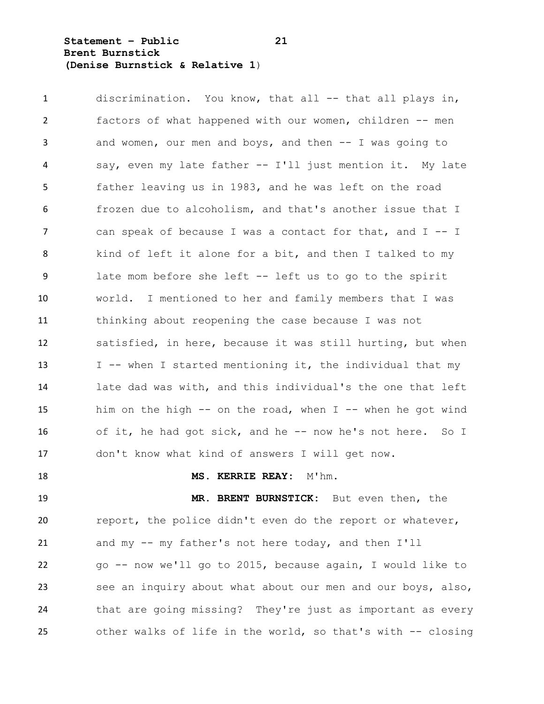**Statement – Public 21 Brent Burnstick (Denise Burnstick & Relative 1**)

1 discrimination. You know, that all -- that all plays in, factors of what happened with our women, children -- men and women, our men and boys, and then -- I was going to say, even my late father -- I'll just mention it. My late father leaving us in 1983, and he was left on the road frozen due to alcoholism, and that's another issue that I 7 can speak of because I was a contact for that, and I -- I kind of left it alone for a bit, and then I talked to my late mom before she left -- left us to go to the spirit world. I mentioned to her and family members that I was thinking about reopening the case because I was not satisfied, in here, because it was still hurting, but when 13 I -- when I started mentioning it, the individual that my late dad was with, and this individual's the one that left him on the high -- on the road, when I -- when he got wind of it, he had got sick, and he -- now he's not here. So I don't know what kind of answers I will get now.

### **MS. KERRIE REAY:** M'hm.

 **MR. BRENT BURNSTICK:** But even then, the report, the police didn't even do the report or whatever, and my -- my father's not here today, and then I'll go -- now we'll go to 2015, because again, I would like to see an inquiry about what about our men and our boys, also, that are going missing? They're just as important as every other walks of life in the world, so that's with -- closing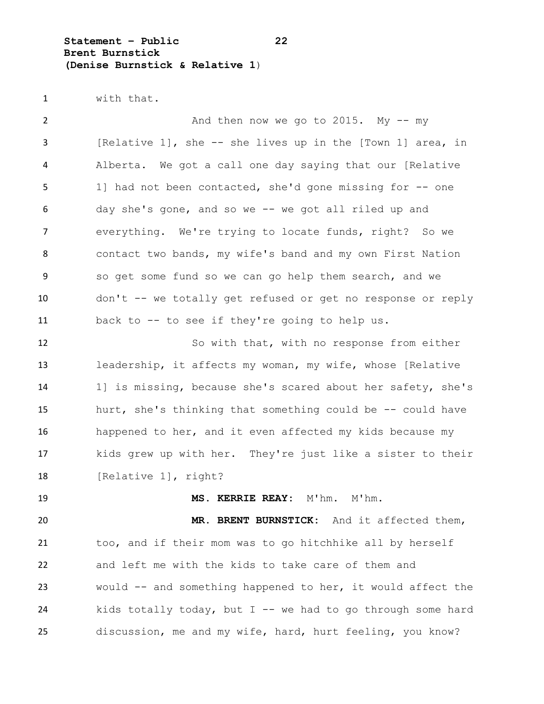**Statement – Public 22 Brent Burnstick (Denise Burnstick & Relative 1**)

with that.

2 And then now we go to 2015. My -- my [Relative 1], she -- she lives up in the [Town 1] area, in Alberta. We got a call one day saying that our [Relative 1] had not been contacted, she'd gone missing for -- one day she's gone, and so we -- we got all riled up and everything. We're trying to locate funds, right? So we contact two bands, my wife's band and my own First Nation so get some fund so we can go help them search, and we don't -- we totally get refused or get no response or reply back to -- to see if they're going to help us. So with that, with no response from either leadership, it affects my woman, my wife, whose [Relative 1] is missing, because she's scared about her safety, she's hurt, she's thinking that something could be -- could have

 happened to her, and it even affected my kids because my kids grew up with her. They're just like a sister to their 18 [Relative 1], right?

**MS. KERRIE REAY:** M'hm. M'hm.

 **MR. BRENT BURNSTICK:** And it affected them, too, and if their mom was to go hitchhike all by herself and left me with the kids to take care of them and would -- and something happened to her, it would affect the 24 kids totally today, but I -- we had to go through some hard discussion, me and my wife, hard, hurt feeling, you know?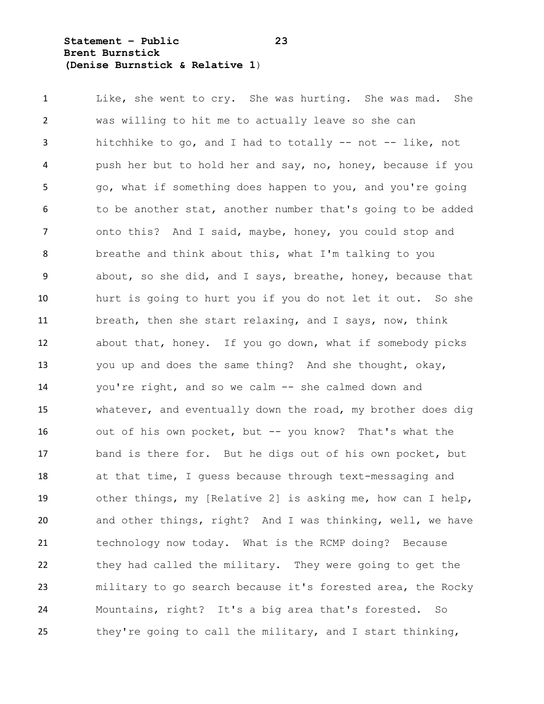**Statement – Public 23 Brent Burnstick (Denise Burnstick & Relative 1**)

 Like, she went to cry. She was hurting. She was mad. She was willing to hit me to actually leave so she can hitchhike to go, and I had to totally -- not -- like, not push her but to hold her and say, no, honey, because if you go, what if something does happen to you, and you're going 6 to be another stat, another number that's going to be added 7 onto this? And I said, maybe, honey, you could stop and breathe and think about this, what I'm talking to you about, so she did, and I says, breathe, honey, because that hurt is going to hurt you if you do not let it out. So she breath, then she start relaxing, and I says, now, think about that, honey. If you go down, what if somebody picks you up and does the same thing? And she thought, okay, you're right, and so we calm -- she calmed down and whatever, and eventually down the road, my brother does dig out of his own pocket, but -- you know? That's what the band is there for. But he digs out of his own pocket, but at that time, I guess because through text-messaging and other things, my [Relative 2] is asking me, how can I help, and other things, right? And I was thinking, well, we have technology now today. What is the RCMP doing? Because they had called the military. They were going to get the military to go search because it's forested area, the Rocky Mountains, right? It's a big area that's forested. So they're going to call the military, and I start thinking,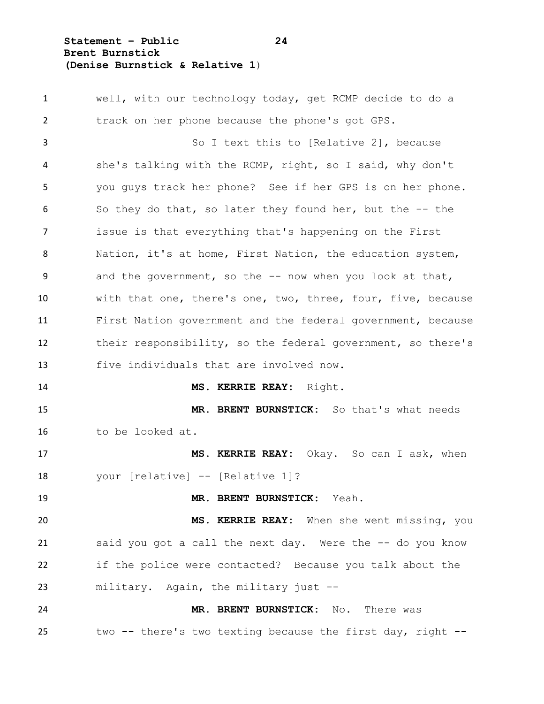**Statement – Public 24 Brent Burnstick (Denise Burnstick & Relative 1**)

 well, with our technology today, get RCMP decide to do a track on her phone because the phone's got GPS. So I text this to [Relative 2], because she's talking with the RCMP, right, so I said, why don't you guys track her phone? See if her GPS is on her phone. So they do that, so later they found her, but the -- the issue is that everything that's happening on the First Nation, it's at home, First Nation, the education system, and the government, so the -- now when you look at that, with that one, there's one, two, three, four, five, because First Nation government and the federal government, because their responsibility, so the federal government, so there's five individuals that are involved now. **MS. KERRIE REAY:** Right. **MR. BRENT BURNSTICK:** So that's what needs to be looked at. **MS. KERRIE REAY:** Okay. So can I ask, when your [relative] -- [Relative 1]? **MR. BRENT BURNSTICK:** Yeah. **MS. KERRIE REAY:** When she went missing, you said you got a call the next day. Were the -- do you know if the police were contacted? Because you talk about the military. Again, the military just -- **MR. BRENT BURNSTICK:** No. There was two -- there's two texting because the first day, right --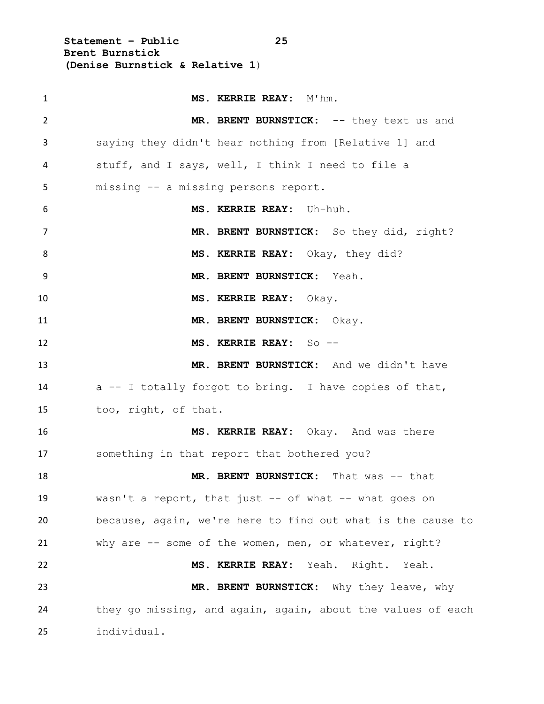**Statement – Public 25 Brent Burnstick (Denise Burnstick & Relative 1**)

| 1  | MS. KERRIE REAY: M'hm.                                      |
|----|-------------------------------------------------------------|
| 2  | MR. BRENT BURNSTICK: -- they text us and                    |
| 3  | saying they didn't hear nothing from [Relative 1] and       |
| 4  | stuff, and I says, well, I think I need to file a           |
| 5  | missing -- a missing persons report.                        |
| 6  | MS. KERRIE REAY: Uh-huh.                                    |
| 7  | MR. BRENT BURNSTICK: So they did, right?                    |
| 8  | MS. KERRIE REAY: Okay, they did?                            |
| 9  | MR. BRENT BURNSTICK: Yeah.                                  |
| 10 | MS. KERRIE REAY: Okay.                                      |
| 11 | MR. BRENT BURNSTICK: Okay.                                  |
| 12 | MS. KERRIE REAY: So --                                      |
| 13 | MR. BRENT BURNSTICK: And we didn't have                     |
| 14 | a -- I totally forgot to bring. I have copies of that,      |
| 15 | too, right, of that.                                        |
| 16 | MS. KERRIE REAY: Okay. And was there                        |
| 17 | something in that report that bothered you?                 |
| 18 | MR. BRENT BURNSTICK: That was -- that                       |
| 19 | wasn't a report, that just -- of what -- what goes on       |
| 20 | because, again, we're here to find out what is the cause to |
| 21 | why are -- some of the women, men, or whatever, right?      |
| 22 | MS. KERRIE REAY: Yeah. Right. Yeah.                         |
| 23 | MR. BRENT BURNSTICK: Why they leave, why                    |
| 24 | they go missing, and again, again, about the values of each |
| 25 | individual.                                                 |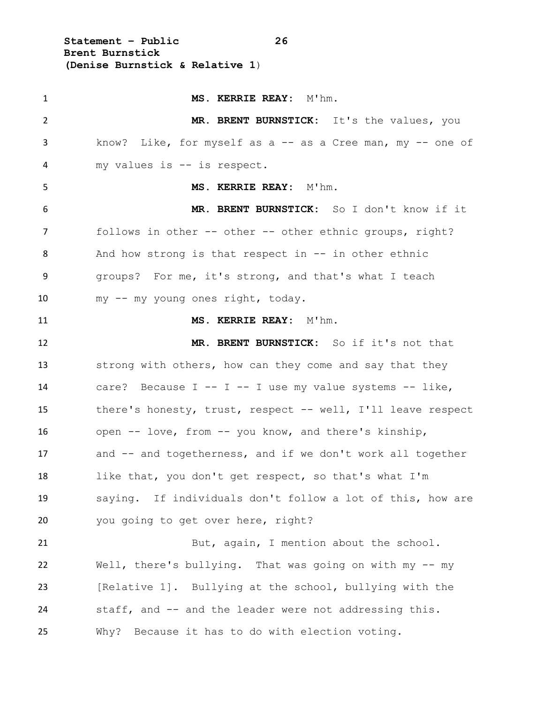**Statement – Public 26 Brent Burnstick (Denise Burnstick & Relative 1**)

**MS. KERRIE REAY:**  $M'$ hm. **MR. BRENT BURNSTICK:** It's the values, you 3 know? Like, for myself as a -- as a Cree man, my -- one of my values is -- is respect. **MS. KERRIE REAY:** M'hm. **MR. BRENT BURNSTICK:** So I don't know if it 7 follows in other -- other -- other ethnic groups, right? 8 And how strong is that respect in -- in other ethnic groups? For me, it's strong, and that's what I teach my -- my young ones right, today. **MS. KERRIE REAY:** M'hm. **MR. BRENT BURNSTICK:** So if it's not that 13 strong with others, how can they come and say that they 14 care? Because  $I - - I - I$  use my value systems  $- -$  like, there's honesty, trust, respect -- well, I'll leave respect open -- love, from -- you know, and there's kinship, and -- and togetherness, and if we don't work all together like that, you don't get respect, so that's what I'm saying. If individuals don't follow a lot of this, how are 20 you going to get over here, right? 21 But, again, I mention about the school. Well, there's bullying. That was going on with my -- my [Relative 1]. Bullying at the school, bullying with the staff, and -- and the leader were not addressing this. Why? Because it has to do with election voting.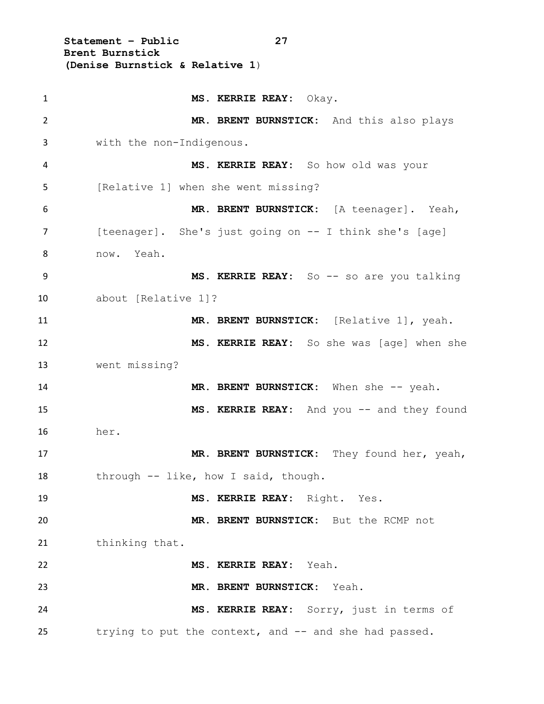**Statement – Public 27 Brent Burnstick (Denise Burnstick & Relative 1**)

| $\mathbf{1}$ | MS. KERRIE REAY: Okay.                                 |
|--------------|--------------------------------------------------------|
| 2            | MR. BRENT BURNSTICK: And this also plays               |
| 3            | with the non-Indigenous.                               |
| 4            | MS. KERRIE REAY: So how old was your                   |
| 5            | [Relative 1] when she went missing?                    |
| 6            | MR. BRENT BURNSTICK: [A teenager]. Yeah,               |
| 7            | [teenager]. She's just going on -- I think she's [age] |
| 8            | now. Yeah.                                             |
| 9            | MS. KERRIE REAY: So -- so are you talking              |
| 10           | about [Relative 1]?                                    |
| 11           | MR. BRENT BURNSTICK: [Relative 1], yeah.               |
| 12           | MS. KERRIE REAY: So she was [age] when she             |
| 13           | went missing?                                          |
| 14           | MR. BRENT BURNSTICK: When she -- yeah.                 |
| 15           | MS. KERRIE REAY: And you -- and they found             |
| 16           | her.                                                   |
| 17           | MR. BRENT BURNSTICK: They found her, yeah,             |
| 18           | through -- like, how I said, though.                   |
| 19           | MS. KERRIE REAY: Right. Yes.                           |
| 20           | MR. BRENT BURNSTICK: But the RCMP not                  |
| 21           | thinking that.                                         |
| 22           | MS. KERRIE REAY: Yeah.                                 |
| 23           | MR. BRENT BURNSTICK: Yeah.                             |
| 24           | MS. KERRIE REAY: Sorry, just in terms of               |
| 25           | trying to put the context, and -- and she had passed.  |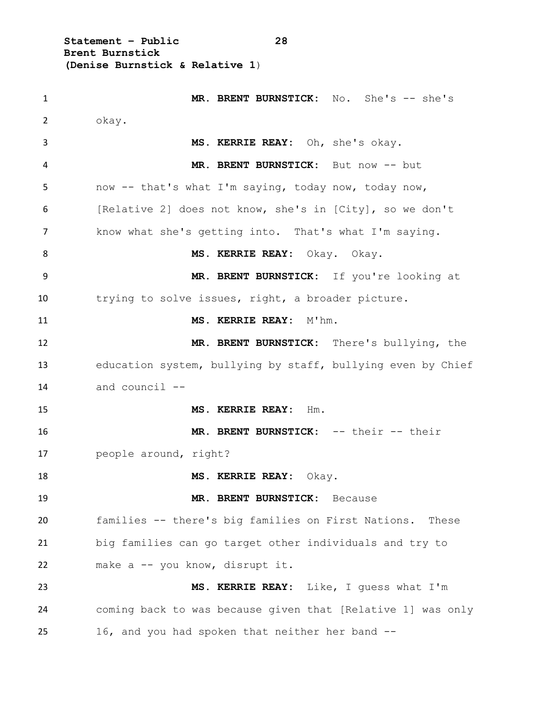**Statement – Public 28 Brent Burnstick (Denise Burnstick & Relative 1**)

 **MR. BRENT BURNSTICK:** No. She's -- she's okay. **MS. KERRIE REAY:** Oh, she's okay. **MR. BRENT BURNSTICK:** But now -- but now -- that's what I'm saying, today now, today now, [Relative 2] does not know, she's in [City], so we don't know what she's getting into. That's what I'm saying. **MS. KERRIE REAY:** Okay. Okay. **MR. BRENT BURNSTICK:** If you're looking at trying to solve issues, right, a broader picture. **MS. KERRIE REAY:** M'hm. **MR. BRENT BURNSTICK:** There's bullying, the education system, bullying by staff, bullying even by Chief and council -- **MS. KERRIE REAY:** Hm. **MR. BRENT BURNSTICK:** -- their -- their people around, right? **MS. KERRIE REAY:** Okay. **MR. BRENT BURNSTICK:** Because families -- there's big families on First Nations. These big families can go target other individuals and try to make a -- you know, disrupt it. **MS. KERRIE REAY:** Like, I guess what I'm coming back to was because given that [Relative 1] was only 16, and you had spoken that neither her band --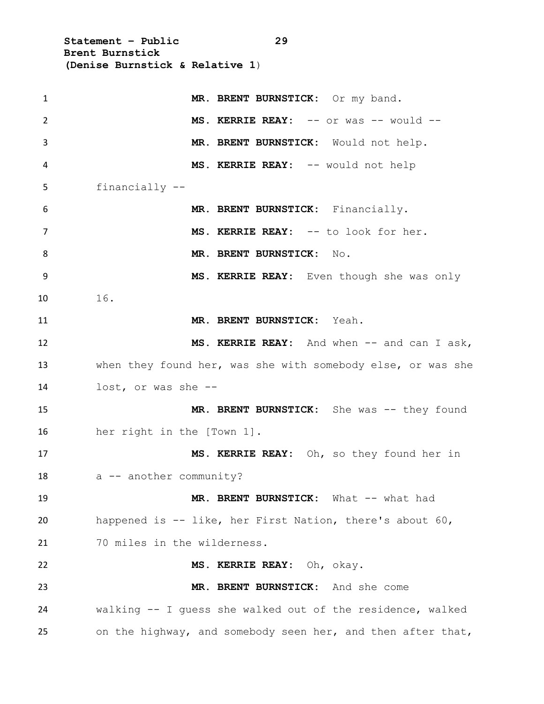**Statement – Public 29 Brent Burnstick (Denise Burnstick & Relative 1**)

| $\mathbf{1}$ | MR. BRENT BURNSTICK: Or my band.                            |
|--------------|-------------------------------------------------------------|
| 2            | MS. KERRIE REAY: -- or was -- would --                      |
| 3            | MR. BRENT BURNSTICK: Would not help.                        |
| 4            | MS. KERRIE REAY: -- would not help                          |
| 5            | financially --                                              |
| 6            | MR. BRENT BURNSTICK: Financially.                           |
| 7            | MS. KERRIE REAY: -- to look for her.                        |
| 8            | MR. BRENT BURNSTICK:<br>No.                                 |
| 9            | MS. KERRIE REAY: Even though she was only                   |
| 10           | 16.                                                         |
| 11           | MR. BRENT BURNSTICK: Yeah.                                  |
| 12           | MS. KERRIE REAY: And when -- and can I ask,                 |
| 13           | when they found her, was she with somebody else, or was she |
| 14           | lost, or was she --                                         |
| 15           | MR. BRENT BURNSTICK: She was -- they found                  |
| 16           | her right in the [Town 1].                                  |
| 17           | MS. KERRIE REAY: Oh, so they found her in                   |
| 18           | a -- another community?                                     |
| 19           | MR. BRENT BURNSTICK: What -- what had                       |
| 20           | happened is -- like, her First Nation, there's about 60,    |
| 21           | 70 miles in the wilderness.                                 |
| 22           | MS. KERRIE REAY: Oh, okay.                                  |
| 23           | MR. BRENT BURNSTICK: And she come                           |
| 24           | walking -- I guess she walked out of the residence, walked  |
| 25           | on the highway, and somebody seen her, and then after that, |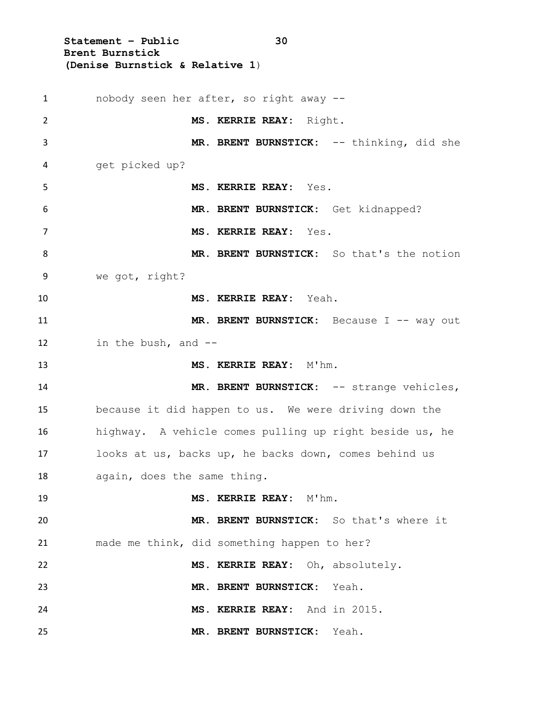**Statement – Public 30 Brent Burnstick (Denise Burnstick & Relative 1**)

 nobody seen her after, so right away -- **MS. KERRIE REAY:** Right. 3 MR. BRENT BURNSTICK: -- thinking, did she get picked up? **MS. KERRIE REAY:** Yes. **MR. BRENT BURNSTICK:** Get kidnapped? **MS. KERRIE REAY:** Yes. **MR. BRENT BURNSTICK:** So that's the notion we got, right? **MS. KERRIE REAY:** Yeah. 11 MR. BRENT BURNSTICK: Because I -- way out in the bush, and -- **MS. KERRIE REAY:** M'hm. **MR. BRENT BURNSTICK:** -- strange vehicles, because it did happen to us. We were driving down the highway. A vehicle comes pulling up right beside us, he looks at us, backs up, he backs down, comes behind us again, does the same thing. **MS. KERRIE REAY:** M'hm. **MR. BRENT BURNSTICK:** So that's where it made me think, did something happen to her? **MS. KERRIE REAY:** Oh, absolutely. **MR. BRENT BURNSTICK:** Yeah. **MS. KERRIE REAY:** And in 2015. **MR. BRENT BURNSTICK:** Yeah.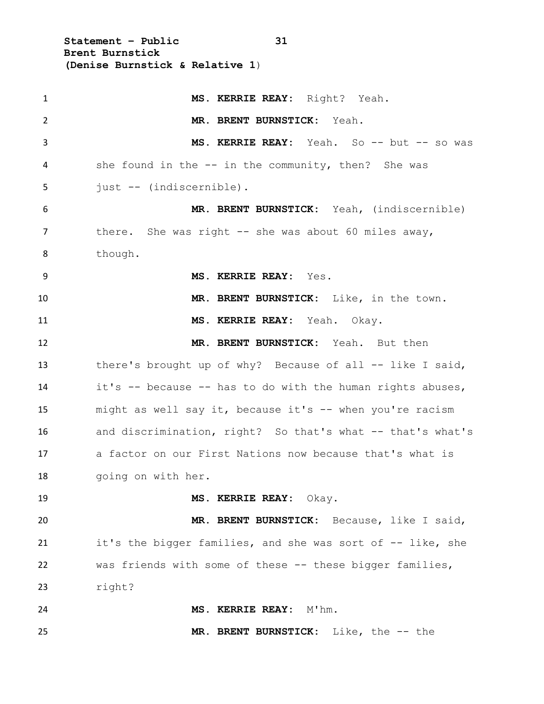**Statement – Public 31 Brent Burnstick (Denise Burnstick & Relative 1**)

| $\mathbf{1}$   | MS. KERRIE REAY: Right? Yeah.                              |
|----------------|------------------------------------------------------------|
| $\overline{2}$ | MR. BRENT BURNSTICK: Yeah.                                 |
| 3              | MS. KERRIE REAY: Yeah. So -- but -- so was                 |
| 4              | she found in the -- in the community, then? She was        |
| 5              | just -- (indiscernible).                                   |
| 6              | MR. BRENT BURNSTICK: Yeah, (indiscernible)                 |
| $\overline{7}$ | there. She was right $--$ she was about 60 miles away,     |
| 8              | though.                                                    |
| 9              | MS. KERRIE REAY: Yes.                                      |
| 10             | MR. BRENT BURNSTICK: Like, in the town.                    |
| 11             | MS. KERRIE REAY: Yeah. Okay.                               |
| 12             | MR. BRENT BURNSTICK: Yeah. But then                        |
| 13             | there's brought up of why? Because of all -- like I said,  |
| 14             | it's -- because -- has to do with the human rights abuses, |
| 15             | might as well say it, because it's -- when you're racism   |
| 16             | and discrimination, right? So that's what -- that's what's |
| 17             | a factor on our First Nations now because that's what is   |
| 18             | going on with her.                                         |
| 19             | MS. KERRIE REAY: Okay.                                     |
| 20             | MR. BRENT BURNSTICK: Because, like I said,                 |
| 21             | it's the bigger families, and she was sort of -- like, she |
| 22             | was friends with some of these -- these bigger families,   |
| 23             | right?                                                     |
| 24             | MS. KERRIE REAY: M'hm.                                     |
| 25             | MR. BRENT BURNSTICK: Like, the -- the                      |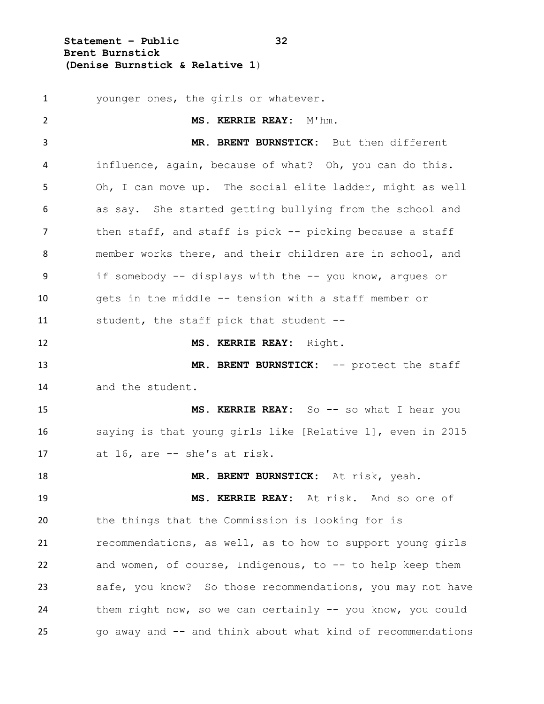**Statement – Public 32 Brent Burnstick (Denise Burnstick & Relative 1**)

 younger ones, the girls or whatever. **MS. KERRIE REAY:** M'hm. **MR. BRENT BURNSTICK:** But then different influence, again, because of what? Oh, you can do this. Oh, I can move up. The social elite ladder, might as well as say. She started getting bullying from the school and 7 then staff, and staff is pick -- picking because a staff member works there, and their children are in school, and if somebody -- displays with the -- you know, argues or gets in the middle -- tension with a staff member or student, the staff pick that student -- **MS. KERRIE REAY:** Right. **MR. BRENT BURNSTICK:** -- protect the staff and the student. **MS. KERRIE REAY:** So -- so what I hear you saying is that young girls like [Relative 1], even in 2015 at 16, are -- she's at risk. **MR. BRENT BURNSTICK:** At risk, yeah. **MS. KERRIE REAY:** At risk. And so one of the things that the Commission is looking for is recommendations, as well, as to how to support young girls and women, of course, Indigenous, to -- to help keep them safe, you know? So those recommendations, you may not have them right now, so we can certainly -- you know, you could go away and -- and think about what kind of recommendations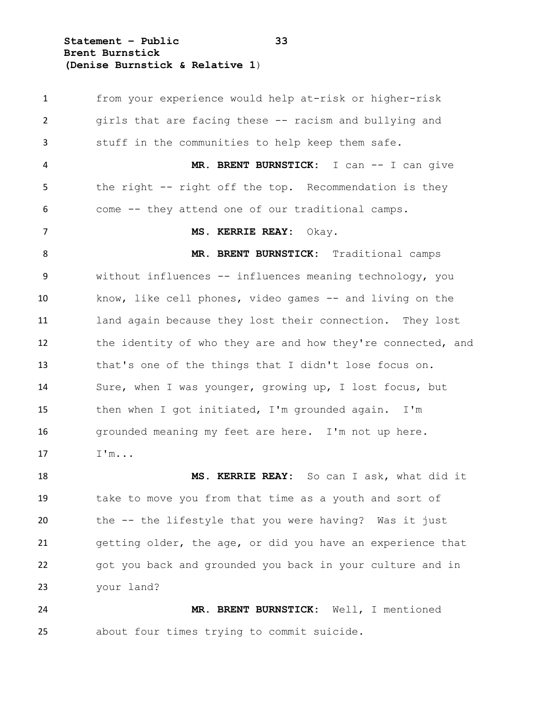**Statement – Public 33 Brent Burnstick (Denise Burnstick & Relative 1**)

 from your experience would help at-risk or higher-risk girls that are facing these -- racism and bullying and stuff in the communities to help keep them safe. **MR. BRENT BURNSTICK:** I can -- I can give 5 the right -- right off the top. Recommendation is they come -- they attend one of our traditional camps. **MS. KERRIE REAY:** Okay. **MR. BRENT BURNSTICK:** Traditional camps without influences -- influences meaning technology, you know, like cell phones, video games -- and living on the land again because they lost their connection. They lost 12 the identity of who they are and how they're connected, and that's one of the things that I didn't lose focus on. Sure, when I was younger, growing up, I lost focus, but then when I got initiated, I'm grounded again. I'm 16 grounded meaning my feet are here. I'm not up here. 17 I'm... **MS. KERRIE REAY:** So can I ask, what did it take to move you from that time as a youth and sort of the -- the lifestyle that you were having? Was it just getting older, the age, or did you have an experience that got you back and grounded you back in your culture and in your land?

 **MR. BRENT BURNSTICK:** Well, I mentioned about four times trying to commit suicide.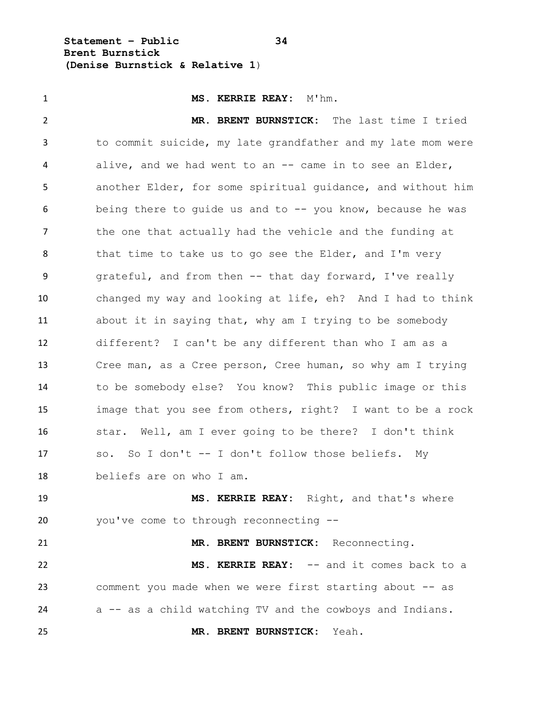**Statement – Public 34 Brent Burnstick (Denise Burnstick & Relative 1**)

 **MS. KERRIE REAY:** M'hm. **MR. BRENT BURNSTICK:** The last time I tried to commit suicide, my late grandfather and my late mom were alive, and we had went to an -- came in to see an Elder, another Elder, for some spiritual guidance, and without him being there to guide us and to -- you know, because he was 7 the one that actually had the vehicle and the funding at 8 that time to take us to go see the Elder, and I'm very grateful, and from then -- that day forward, I've really changed my way and looking at life, eh? And I had to think about it in saying that, why am I trying to be somebody different? I can't be any different than who I am as a Cree man, as a Cree person, Cree human, so why am I trying to be somebody else? You know? This public image or this image that you see from others, right? I want to be a rock star. Well, am I ever going to be there? I don't think so. So I don't -- I don't follow those beliefs. My beliefs are on who I am. **MS. KERRIE REAY:** Right, and that's where you've come to through reconnecting --

 **MS. KERRIE REAY:** -- and it comes back to a comment you made when we were first starting about -- as a -- as a child watching TV and the cowboys and Indians.

**MR. BRENT BURNSTICK:** Reconnecting.

**MR. BRENT BURNSTICK:** Yeah.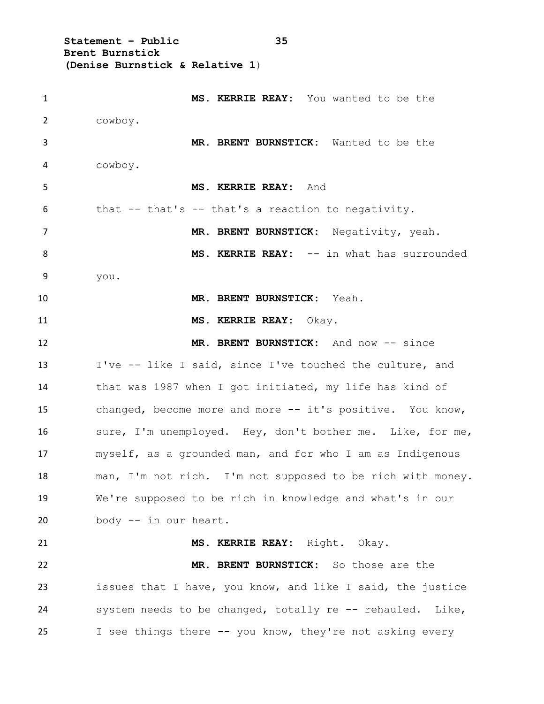**Statement – Public 35 Brent Burnstick (Denise Burnstick & Relative 1**)

 **MS. KERRIE REAY:** You wanted to be the cowboy. **MR. BRENT BURNSTICK:** Wanted to be the cowboy. **MS. KERRIE REAY:** And that -- that's -- that's a reaction to negativity. **MR. BRENT BURNSTICK:** Negativity, yeah. 8 MS. KERRIE REAY: -- in what has surrounded you. **MR. BRENT BURNSTICK:** Yeah. **MS. KERRIE REAY:** Okay. 12 MR. BRENT BURNSTICK: And now -- since I've -- like I said, since I've touched the culture, and that was 1987 when I got initiated, my life has kind of changed, become more and more -- it's positive. You know, sure, I'm unemployed. Hey, don't bother me. Like, for me, myself, as a grounded man, and for who I am as Indigenous man, I'm not rich. I'm not supposed to be rich with money. We're supposed to be rich in knowledge and what's in our body -- in our heart. **MS. KERRIE REAY:** Right. Okay. **MR. BRENT BURNSTICK:** So those are the issues that I have, you know, and like I said, the justice system needs to be changed, totally re -- rehauled. Like, I see things there -- you know, they're not asking every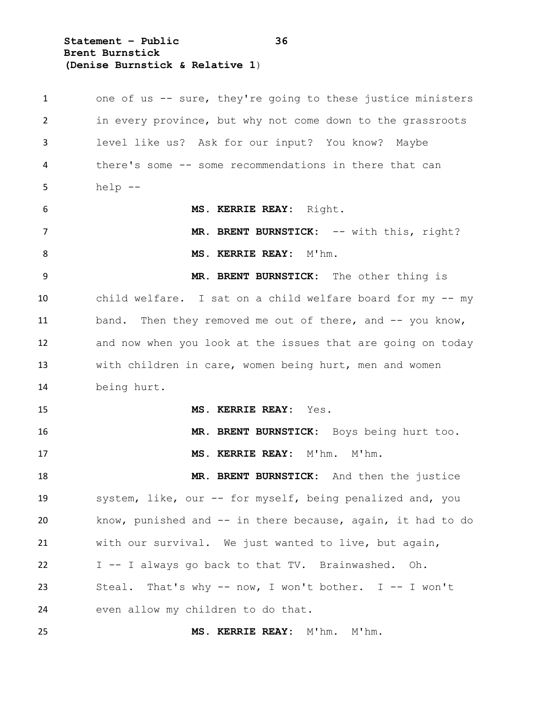**Statement – Public 36 Brent Burnstick (Denise Burnstick & Relative 1**)

1 one of us -- sure, they're going to these justice ministers in every province, but why not come down to the grassroots level like us? Ask for our input? You know? Maybe there's some -- some recommendations in there that can help  $-$  **MS. KERRIE REAY:** Right. 7 MR. BRENT BURNSTICK: -- with this, right? 8 MS. KERRIE REAY: M'hm. **MR. BRENT BURNSTICK:** The other thing is child welfare. I sat on a child welfare board for my -- my 11 band. Then they removed me out of there, and -- you know, and now when you look at the issues that are going on today with children in care, women being hurt, men and women being hurt. **MS. KERRIE REAY:** Yes. **MR. BRENT BURNSTICK:** Boys being hurt too. **MS. KERRIE REAY:** M'hm. M'hm. **MR. BRENT BURNSTICK:** And then the justice system, like, our -- for myself, being penalized and, you know, punished and -- in there because, again, it had to do with our survival. We just wanted to live, but again, I -- I always go back to that TV. Brainwashed. Oh. Steal. That's why -- now, I won't bother. I -- I won't even allow my children to do that. **MS. KERRIE REAY:** M'hm. M'hm.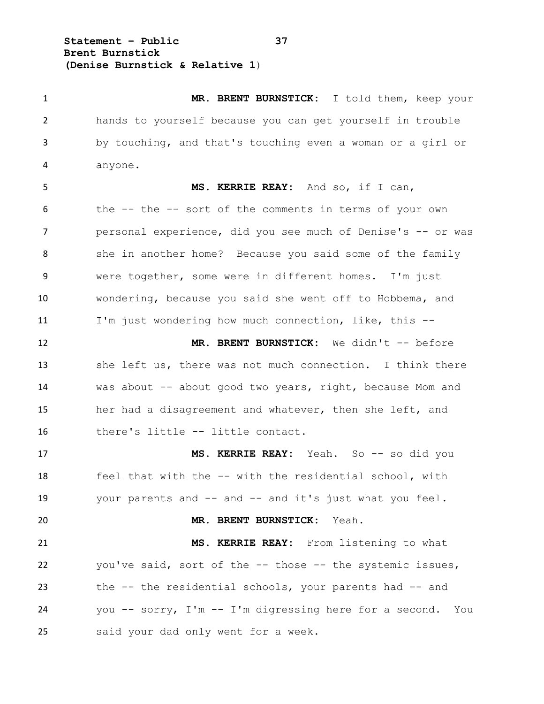**Statement – Public 37 Brent Burnstick (Denise Burnstick & Relative 1**)

 **MR. BRENT BURNSTICK:** I told them, keep your hands to yourself because you can get yourself in trouble by touching, and that's touching even a woman or a girl or anyone. **MS. KERRIE REAY:** And so, if I can, the -- the -- sort of the comments in terms of your own 7 personal experience, did you see much of Denise's -- or was 8 she in another home? Because you said some of the family were together, some were in different homes. I'm just wondering, because you said she went off to Hobbema, and I'm just wondering how much connection, like, this -- 12 MR. BRENT BURNSTICK: We didn't -- before

 she left us, there was not much connection. I think there was about -- about good two years, right, because Mom and her had a disagreement and whatever, then she left, and there's little -- little contact.

17 MS. KERRIE REAY: Yeah. So -- so did you feel that with the -- with the residential school, with your parents and -- and -- and it's just what you feel.

 **MR. BRENT BURNSTICK:** Yeah. **MS. KERRIE REAY:** From listening to what you've said, sort of the -- those -- the systemic issues, the -- the residential schools, your parents had -- and you -- sorry, I'm -- I'm digressing here for a second. You said your dad only went for a week.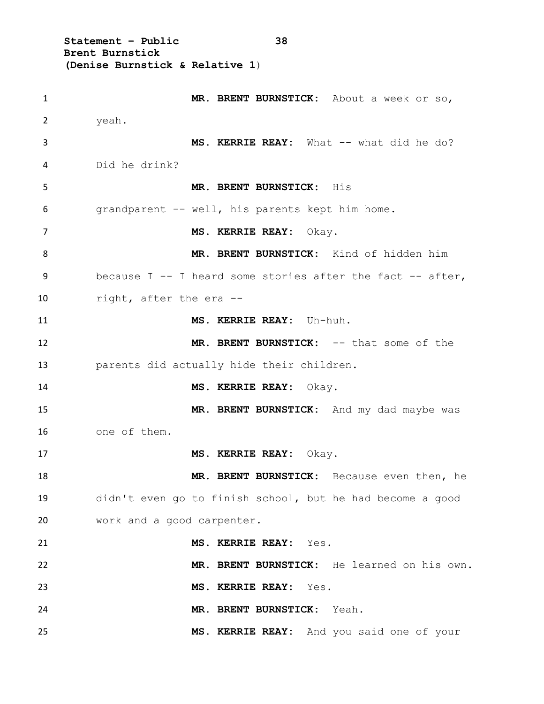**Statement – Public 38 Brent Burnstick (Denise Burnstick & Relative 1**)

| $\mathbf{1}$ | MR. BRENT BURNSTICK: About a week or so,                     |
|--------------|--------------------------------------------------------------|
| 2            | yeah.                                                        |
| 3            | MS. KERRIE REAY: What -- what did he do?                     |
| 4            | Did he drink?                                                |
| 5            | MR. BRENT BURNSTICK: His                                     |
| 6            | grandparent -- well, his parents kept him home.              |
| 7            | MS. KERRIE REAY: Okay.                                       |
| 8            | MR. BRENT BURNSTICK: Kind of hidden him                      |
| 9            | because $I$ -- I heard some stories after the fact -- after, |
| 10           | right, after the era --                                      |
| 11           | MS. KERRIE REAY: Uh-huh.                                     |
| 12           | MR. BRENT BURNSTICK: -- that some of the                     |
| 13           | parents did actually hide their children.                    |
| 14           | MS. KERRIE REAY: Okay.                                       |
| 15           | MR. BRENT BURNSTICK: And my dad maybe was                    |
| 16           | one of them.                                                 |
| 17           | MS. KERRIE REAY: Okay.                                       |
| 18           | MR. BRENT BURNSTICK: Because even then, he                   |
| 19           | didn't even go to finish school, but he had become a good    |
| 20           | work and a good carpenter.                                   |
| 21           | MS. KERRIE REAY: Yes.                                        |
| 22           | MR. BRENT BURNSTICK: He learned on his own.                  |
| 23           | MS. KERRIE REAY: Yes.                                        |
| 24           | MR. BRENT BURNSTICK: Yeah.                                   |
| 25           | MS. KERRIE REAY: And you said one of your                    |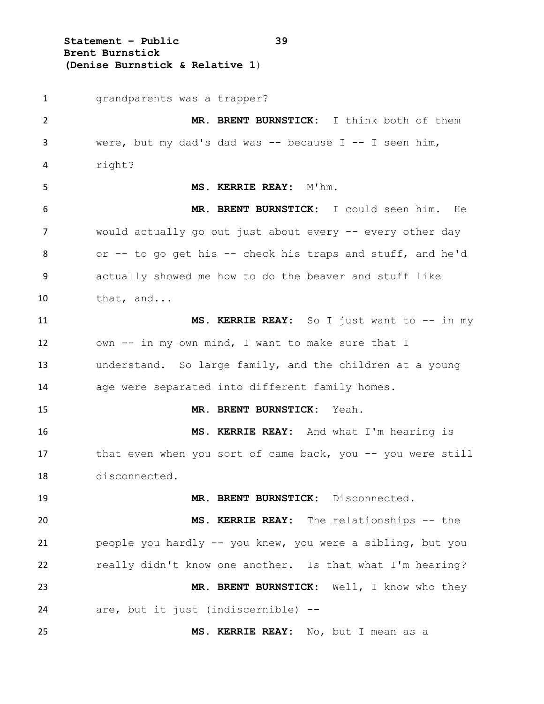**Statement – Public 39 Brent Burnstick (Denise Burnstick & Relative 1**)

 grandparents was a trapper? **MR. BRENT BURNSTICK:** I think both of them were, but my dad's dad was -- because I -- I seen him, right? **MS. KERRIE REAY:** M'hm. **MR. BRENT BURNSTICK:** I could seen him. He would actually go out just about every -- every other day or -- to go get his -- check his traps and stuff, and he'd actually showed me how to do the beaver and stuff like that, and... **MS. KERRIE REAY:** So I just want to -- in my own -- in my own mind, I want to make sure that I understand. So large family, and the children at a young age were separated into different family homes. **MR. BRENT BURNSTICK:** Yeah. **MS. KERRIE REAY:** And what I'm hearing is 17 that even when you sort of came back, you -- you were still disconnected. **MR. BRENT BURNSTICK:** Disconnected. **MS. KERRIE REAY:** The relationships -- the people you hardly -- you knew, you were a sibling, but you really didn't know one another. Is that what I'm hearing? **MR. BRENT BURNSTICK:** Well, I know who they are, but it just (indiscernible) -- **MS. KERRIE REAY:** No, but I mean as a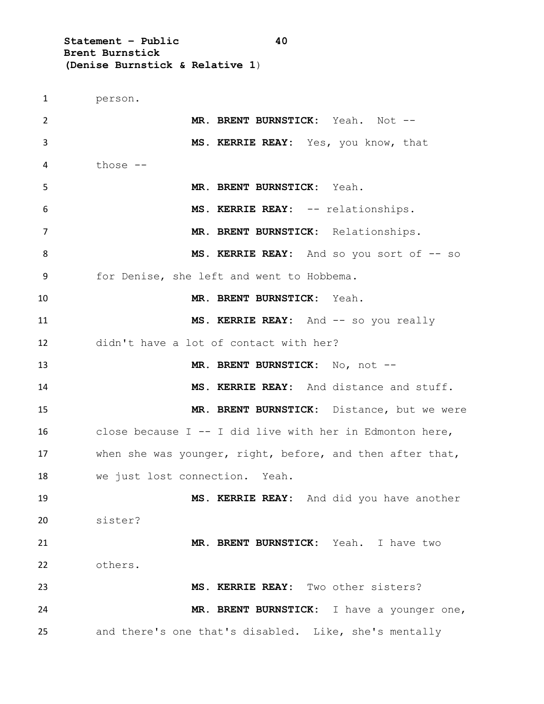**Statement – Public 40 Brent Burnstick (Denise Burnstick & Relative 1**)

 person. **MR. BRENT BURNSTICK:** Yeah. Not -- **MS. KERRIE REAY:** Yes, you know, that those -- **MR. BRENT BURNSTICK:** Yeah. **MS. KERRIE REAY:** -- relationships. **MR. BRENT BURNSTICK:** Relationships. 8 MS. KERRIE REAY: And so you sort of  $-$  so for Denise, she left and went to Hobbema. **MR. BRENT BURNSTICK:** Yeah. **MS. KERRIE REAY:** And  $-$  so you really didn't have a lot of contact with her? **MR. BRENT BURNSTICK:** No, not -- **MS. KERRIE REAY:** And distance and stuff. **MR. BRENT BURNSTICK:** Distance, but we were close because I -- I did live with her in Edmonton here, when she was younger, right, before, and then after that, we just lost connection. Yeah. **MS. KERRIE REAY:** And did you have another sister? **MR. BRENT BURNSTICK:** Yeah. I have two others. **MS. KERRIE REAY:** Two other sisters? **MR. BRENT BURNSTICK:** I have a younger one, and there's one that's disabled. Like, she's mentally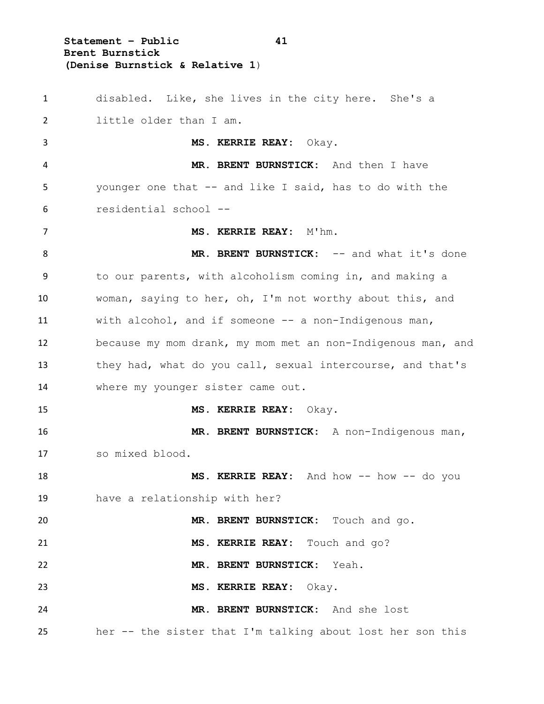**Statement – Public 41 Brent Burnstick (Denise Burnstick & Relative 1**)

 disabled. Like, she lives in the city here. She's a little older than I am. **MS. KERRIE REAY:** Okay. **MR. BRENT BURNSTICK:** And then I have younger one that -- and like I said, has to do with the residential school -- **MS. KERRIE REAY:** M'hm. 8 MR. BRENT BURNSTICK: -- and what it's done to our parents, with alcoholism coming in, and making a woman, saying to her, oh, I'm not worthy about this, and with alcohol, and if someone -- a non-Indigenous man, because my mom drank, my mom met an non-Indigenous man, and they had, what do you call, sexual intercourse, and that's where my younger sister came out. **MS. KERRIE REAY:** Okay. **MR. BRENT BURNSTICK:** A non-Indigenous man, so mixed blood. **MS. KERRIE REAY:** And how -- how -- do you have a relationship with her? **MR. BRENT BURNSTICK:** Touch and go. **MS. KERRIE REAY:** Touch and go? **MR. BRENT BURNSTICK:** Yeah. **MS. KERRIE REAY:** Okay. **MR. BRENT BURNSTICK:** And she lost her -- the sister that I'm talking about lost her son this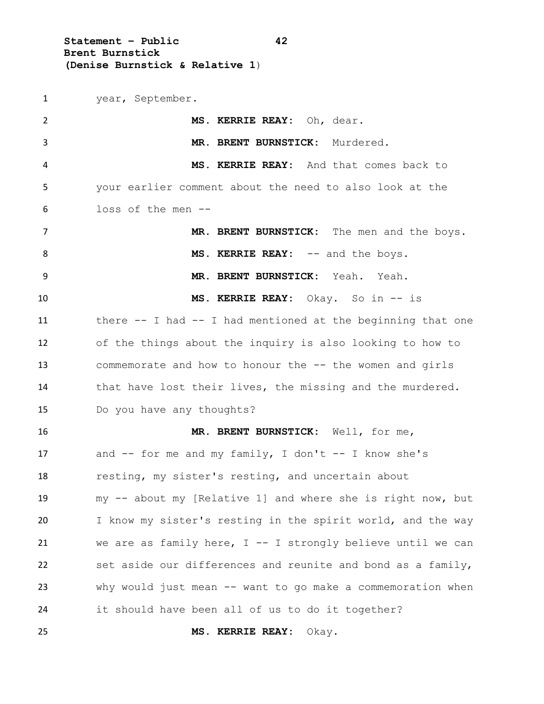**Statement – Public 42 Brent Burnstick (Denise Burnstick & Relative 1**)

year, September.

 **MS. KERRIE REAY:** Oh, dear. **MR. BRENT BURNSTICK:** Murdered. **MS. KERRIE REAY:** And that comes back to your earlier comment about the need to also look at the loss of the men -- **MR. BRENT BURNSTICK:** The men and the boys. 8 MS. KERRIE REAY: -- and the boys. **MR. BRENT BURNSTICK:** Yeah. Yeah. **MS. KERRIE REAY:** Okay. So in -- is 11 there -- I had -- I had mentioned at the beginning that one of the things about the inquiry is also looking to how to 13 commemorate and how to honour the -- the women and girls 14 that have lost their lives, the missing and the murdered. Do you have any thoughts? **MR. BRENT BURNSTICK:** Well, for me, and -- for me and my family, I don't -- I know she's resting, my sister's resting, and uncertain about my -- about my [Relative 1] and where she is right now, but I know my sister's resting in the spirit world, and the way we are as family here, I -- I strongly believe until we can set aside our differences and reunite and bond as a family, why would just mean -- want to go make a commemoration when it should have been all of us to do it together? **MS. KERRIE REAY:** Okay.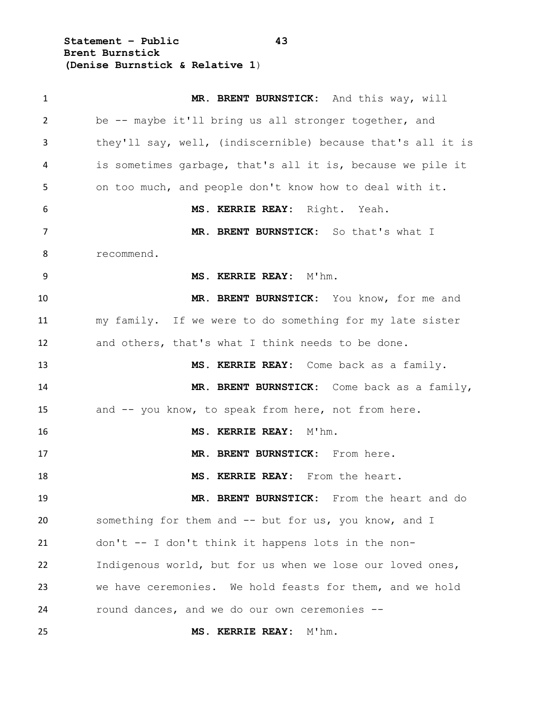**Statement – Public 43 Brent Burnstick (Denise Burnstick & Relative 1**)

| $\mathbf{1}$   | MR. BRENT BURNSTICK: And this way, will                     |
|----------------|-------------------------------------------------------------|
| $\overline{2}$ | be -- maybe it'll bring us all stronger together, and       |
| 3              | they'll say, well, (indiscernible) because that's all it is |
| 4              | is sometimes garbage, that's all it is, because we pile it  |
| 5              | on too much, and people don't know how to deal with it.     |
| 6              | MS. KERRIE REAY: Right. Yeah.                               |
| 7              | MR. BRENT BURNSTICK: So that's what I                       |
| 8              | recommend.                                                  |
| 9              | MS. KERRIE REAY: M'hm.                                      |
| 10             | MR. BRENT BURNSTICK: You know, for me and                   |
| 11             | my family. If we were to do something for my late sister    |
| 12             | and others, that's what I think needs to be done.           |
| 13             | MS. KERRIE REAY: Come back as a family.                     |
| 14             | MR. BRENT BURNSTICK: Come back as a family,                 |
| 15             | and -- you know, to speak from here, not from here.         |
| 16             | MS. KERRIE REAY: M'hm.                                      |
| 17             | MR. BRENT BURNSTICK: From here.                             |
| 18             | MS. KERRIE REAY: From the heart.                            |
| 19             | MR. BRENT BURNSTICK: From the heart and do                  |
| 20             | something for them and -- but for us, you know, and I       |
| 21             | don't -- I don't think it happens lots in the non-          |
| 22             | Indigenous world, but for us when we lose our loved ones,   |
| 23             | we have ceremonies. We hold feasts for them, and we hold    |
| 24             | round dances, and we do our own ceremonies --               |
| 25             | MS. KERRIE REAY: M'hm.                                      |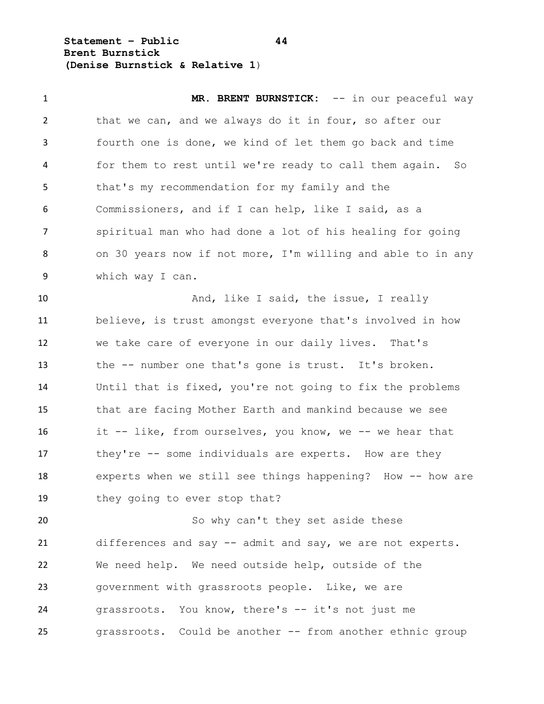**Statement – Public 44 Brent Burnstick (Denise Burnstick & Relative 1**)

1 MR. BRENT BURNSTICK:  $--$  in our peaceful way 2 that we can, and we always do it in four, so after our fourth one is done, we kind of let them go back and time for them to rest until we're ready to call them again. So that's my recommendation for my family and the Commissioners, and if I can help, like I said, as a spiritual man who had done a lot of his healing for going on 30 years now if not more, I'm willing and able to in any which way I can. 10 And, like I said, the issue, I really believe, is trust amongst everyone that's involved in how we take care of everyone in our daily lives. That's the -- number one that's gone is trust. It's broken. Until that is fixed, you're not going to fix the problems that are facing Mother Earth and mankind because we see it -- like, from ourselves, you know, we -- we hear that 17 they're -- some individuals are experts. How are they experts when we still see things happening? How -- how are 19 they going to ever stop that? 20 So why can't they set aside these differences and say -- admit and say, we are not experts. We need help. We need outside help, outside of the

 government with grassroots people. Like, we are grassroots. You know, there's -- it's not just me grassroots. Could be another -- from another ethnic group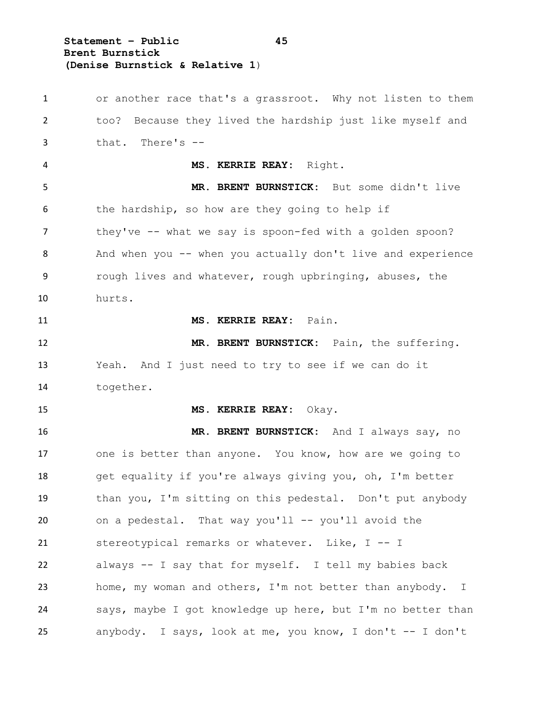**Statement – Public 45 Brent Burnstick (Denise Burnstick & Relative 1**)

 or another race that's a grassroot. Why not listen to them too? Because they lived the hardship just like myself and that. There's -- **MS. KERRIE REAY:** Right. **MR. BRENT BURNSTICK:** But some didn't live the hardship, so how are they going to help if 7 they've -- what we say is spoon-fed with a golden spoon? 8 And when you -- when you actually don't live and experience 9 rough lives and whatever, rough upbringing, abuses, the hurts. **MS. KERRIE REAY:** Pain. **MR. BRENT BURNSTICK:** Pain, the suffering. Yeah. And I just need to try to see if we can do it together. **MS. KERRIE REAY:** Okay. **MR. BRENT BURNSTICK:** And I always say, no one is better than anyone. You know, how are we going to get equality if you're always giving you, oh, I'm better than you, I'm sitting on this pedestal. Don't put anybody on a pedestal. That way you'll -- you'll avoid the stereotypical remarks or whatever. Like, I -- I always -- I say that for myself. I tell my babies back home, my woman and others, I'm not better than anybody. I says, maybe I got knowledge up here, but I'm no better than anybody. I says, look at me, you know, I don't -- I don't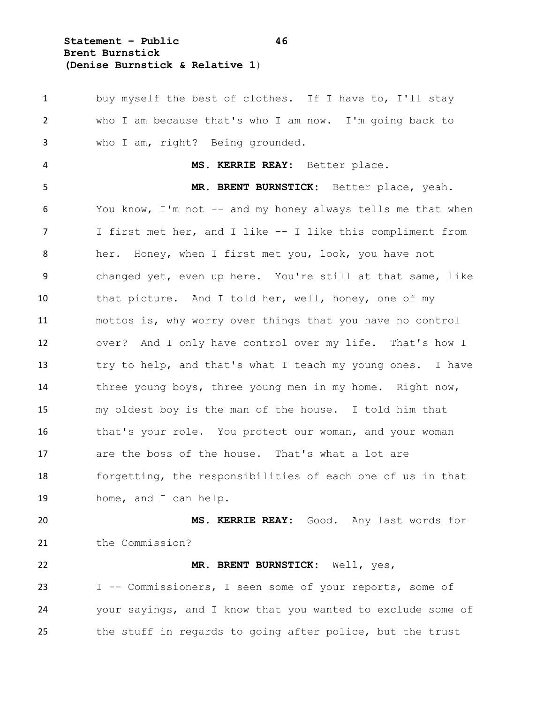**Statement – Public 46 Brent Burnstick (Denise Burnstick & Relative 1**)

 buy myself the best of clothes. If I have to, I'll stay who I am because that's who I am now. I'm going back to who I am, right? Being grounded. **MS. KERRIE REAY:** Better place. **MR. BRENT BURNSTICK:** Better place, yeah. You know, I'm not -- and my honey always tells me that when I first met her, and I like -- I like this compliment from her. Honey, when I first met you, look, you have not changed yet, even up here. You're still at that same, like that picture. And I told her, well, honey, one of my mottos is, why worry over things that you have no control over? And I only have control over my life. That's how I try to help, and that's what I teach my young ones. I have three young boys, three young men in my home. Right now, my oldest boy is the man of the house. I told him that 16 that's your role. You protect our woman, and your woman are the boss of the house. That's what a lot are forgetting, the responsibilities of each one of us in that home, and I can help. **MS. KERRIE REAY:** Good. Any last words for 21 the Commission? **MR. BRENT BURNSTICK:** Well, yes, I -- Commissioners, I seen some of your reports, some of your sayings, and I know that you wanted to exclude some of

the stuff in regards to going after police, but the trust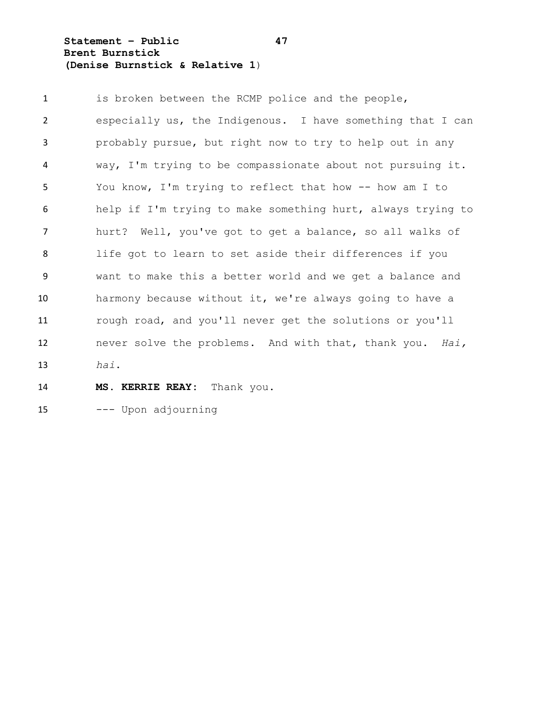**Statement – Public 47 Brent Burnstick (Denise Burnstick & Relative 1**)

1 is broken between the RCMP police and the people, especially us, the Indigenous. I have something that I can probably pursue, but right now to try to help out in any way, I'm trying to be compassionate about not pursuing it. You know, I'm trying to reflect that how -- how am I to help if I'm trying to make something hurt, always trying to hurt? Well, you've got to get a balance, so all walks of life got to learn to set aside their differences if you want to make this a better world and we get a balance and harmony because without it, we're always going to have a rough road, and you'll never get the solutions or you'll never solve the problems. And with that, thank you. *Hai, hai*.

## **MS. KERRIE REAY:** Thank you.

--- Upon adjourning